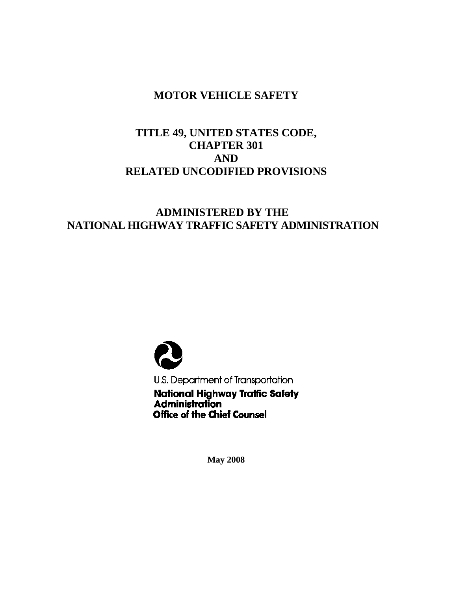# **MOTOR VEHICLE SAFETY**

# **TITLE 49, UNITED STATES CODE, CHAPTER 301 AND RELATED UNCODIFIED PROVISIONS**

# **ADMINISTERED BY THE NATIONAL HIGHWAY TRAFFIC SAFETY ADMINISTRATION**

Q U.S. Department of Transportation **National Highway Traffic Safety<br>Administration Office of the Chief Counsel** 

**May 2008**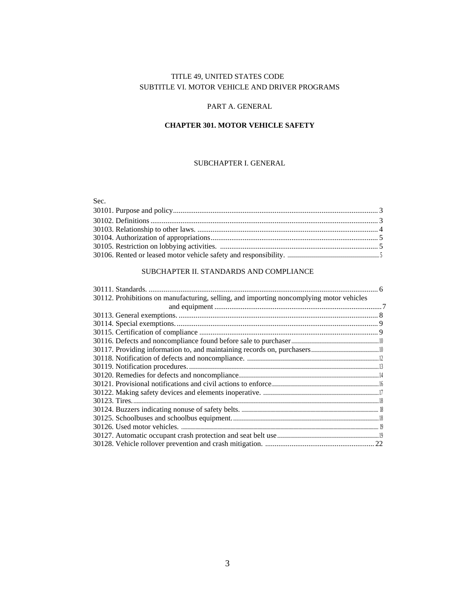# TITLE 49, UNITED STATES CODE SUBTITLE VI. MOTOR VEHICLE AND DRIVER PROGRAMS

# PART A. GENERAL

# **CHAPTER 301. MOTOR VEHICLE SAFETY**

## SUBCHAPTER I. GENERAL

# Sec.

# SUBCHAPTER II. STANDARDS AND COMPLIANCE

| 30112. Prohibitions on manufacturing, selling, and importing noncomplying motor vehicles |  |
|------------------------------------------------------------------------------------------|--|
|                                                                                          |  |
|                                                                                          |  |
|                                                                                          |  |
|                                                                                          |  |
|                                                                                          |  |
|                                                                                          |  |
|                                                                                          |  |
|                                                                                          |  |
|                                                                                          |  |
|                                                                                          |  |
|                                                                                          |  |
|                                                                                          |  |
|                                                                                          |  |
|                                                                                          |  |
|                                                                                          |  |
|                                                                                          |  |
|                                                                                          |  |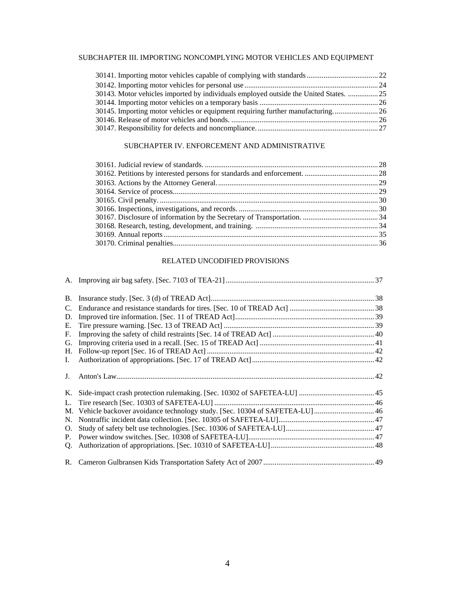# SUBCHAPTER III. IMPORTING NONCOMPLYING MOTOR VEHICLES AND EQUIPMENT

| 30143. Motor vehicles imported by individuals employed outside the United States.  25 |  |
|---------------------------------------------------------------------------------------|--|
|                                                                                       |  |
| 30145. Importing motor vehicles or equipment requiring further manufacturing 26       |  |
|                                                                                       |  |
|                                                                                       |  |

# SUBCHAPTER IV. ENFORCEMENT AND ADMINISTRATIVE

# RELATED UNCODIFIED PROVISIONS

| D.             |  |
|----------------|--|
| Е.             |  |
| F.             |  |
| G.             |  |
|                |  |
| $\mathbf{I}$ . |  |
|                |  |
|                |  |
| L.             |  |
|                |  |
|                |  |
| O.             |  |
|                |  |
|                |  |
|                |  |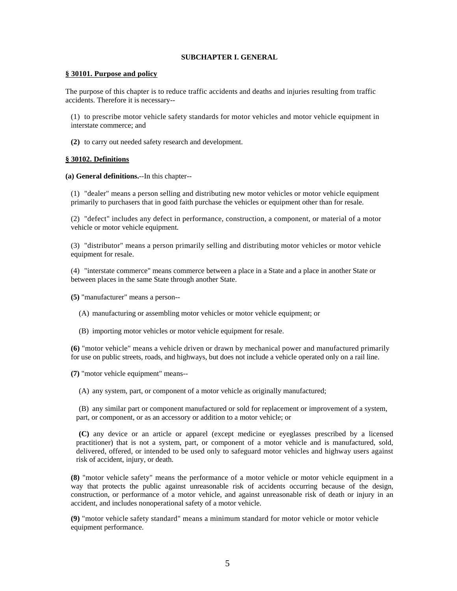# **SUBCHAPTER I. GENERAL**

# **§ 30101. Purpose and policy**

The purpose of this chapter is to reduce traffic accidents and deaths and injuries resulting from traffic accidents. Therefore it is necessary--

(1) to prescribe motor vehicle safety standards for motor vehicles and motor vehicle equipment in interstate commerce; and

**(2)** to carry out needed safety research and development.

### **§ 30102. Definitions**

**(a) General definitions.**--In this chapter--

(1) "dealer" means a person selling and distributing new motor vehicles or motor vehicle equipment primarily to purchasers that in good faith purchase the vehicles or equipment other than for resale.

(2) "defect" includes any defect in performance, construction, a component, or material of a motor vehicle or motor vehicle equipment.

(3) "distributor" means a person primarily selling and distributing motor vehicles or motor vehicle equipment for resale.

(4) "interstate commerce" means commerce between a place in a State and a place in another State or between places in the same State through another State.

**(5)** "manufacturer" means a person--

(A) manufacturing or assembling motor vehicles or motor vehicle equipment; or

(B) importing motor vehicles or motor vehicle equipment for resale.

**(6)** "motor vehicle" means a vehicle driven or drawn by mechanical power and manufactured primarily for use on public streets, roads, and highways, but does not include a vehicle operated only on a rail line.

**(7)** "motor vehicle equipment" means--

(A) any system, part, or component of a motor vehicle as originally manufactured;

(B) any similar part or component manufactured or sold for replacement or improvement of a system, part, or component, or as an accessory or addition to a motor vehicle; or

**(C)** any device or an article or apparel (except medicine or eyeglasses prescribed by a licensed practitioner) that is not a system, part, or component of a motor vehicle and is manufactured, sold, delivered, offered, or intended to be used only to safeguard motor vehicles and highway users against risk of accident, injury, or death.

**(8)** "motor vehicle safety" means the performance of a motor vehicle or motor vehicle equipment in a way that protects the public against unreasonable risk of accidents occurring because of the design, construction, or performance of a motor vehicle, and against unreasonable risk of death or injury in an accident, and includes nonoperational safety of a motor vehicle.

**(9)** "motor vehicle safety standard" means a minimum standard for motor vehicle or motor vehicle equipment performance.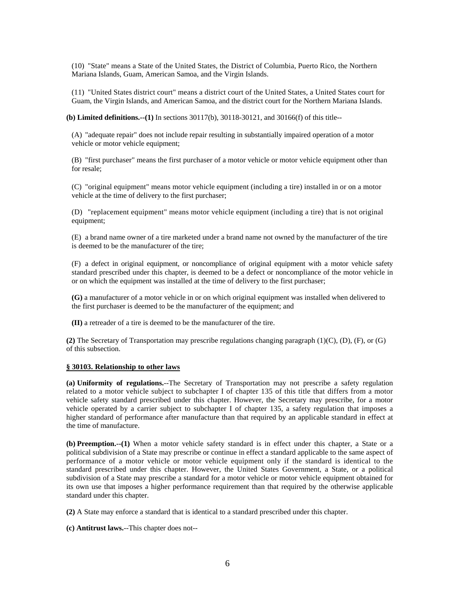(10) "State" means a State of the United States, the District of Columbia, Puerto Rico, the Northern Mariana Islands, Guam, American Samoa, and the Virgin Islands.

(11) "United States district court" means a district court of the United States, a United States court for Guam, the Virgin Islands, and American Samoa, and the district court for the Northern Mariana Islands.

**(b) Limited definitions.--(1)** In sections 30117(b), 30118-30121, and 30166(f) of this title--

(A) "adequate repair" does not include repair resulting in substantially impaired operation of a motor vehicle or motor vehicle equipment;

(B) "first purchaser" means the first purchaser of a motor vehicle or motor vehicle equipment other than for resale;

(C) "original equipment" means motor vehicle equipment (including a tire) installed in or on a motor vehicle at the time of delivery to the first purchaser;

(D) "replacement equipment" means motor vehicle equipment (including a tire) that is not original equipment;

(E) a brand name owner of a tire marketed under a brand name not owned by the manufacturer of the tire is deemed to be the manufacturer of the tire;

(F) a defect in original equipment, or noncompliance of original equipment with a motor vehicle safety standard prescribed under this chapter, is deemed to be a defect or noncompliance of the motor vehicle in or on which the equipment was installed at the time of delivery to the first purchaser;

**(G)** a manufacturer of a motor vehicle in or on which original equipment was installed when delivered to the first purchaser is deemed to be the manufacturer of the equipment; and

**(II)** a retreader of a tire is deemed to be the manufacturer of the tire.

**(2)** The Secretary of Transportation may prescribe regulations changing paragraph (1)(C), (D), (F), or (G) of this subsection.

### **§ 30103. Relationship to other laws**

**(a) Uniformity of regulations.**--The Secretary of Transportation may not prescribe a safety regulation related to a motor vehicle subject to subchapter I of chapter 135 of this title that differs from a motor vehicle safety standard prescribed under this chapter. However, the Secretary may prescribe, for a motor vehicle operated by a carrier subject to subchapter I of chapter 135, a safety regulation that imposes a higher standard of performance after manufacture than that required by an applicable standard in effect at the time of manufacture.

**(b) Preemption.--(1)** When a motor vehicle safety standard is in effect under this chapter, a State or a political subdivision of a State may prescribe or continue in effect a standard applicable to the same aspect of performance of a motor vehicle or motor vehicle equipment only if the standard is identical to the standard prescribed under this chapter. However, the United States Government, a State, or a political subdivision of a State may prescribe a standard for a motor vehicle or motor vehicle equipment obtained for its own use that imposes a higher performance requirement than that required by the otherwise applicable standard under this chapter.

**(2)** A State may enforce a standard that is identical to a standard prescribed under this chapter.

**(c) Antitrust laws.**--This chapter does not--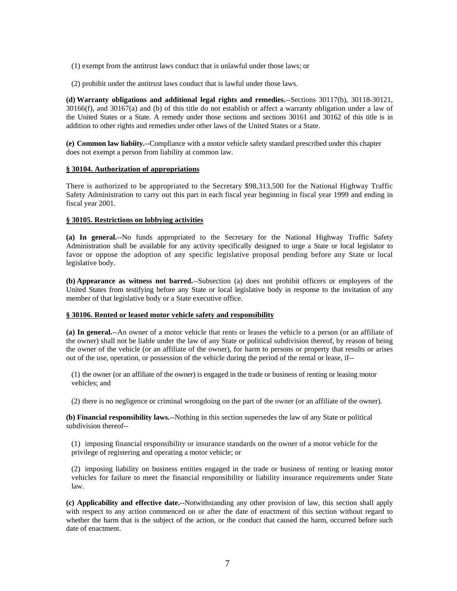(1) exempt from the antitrust laws conduct that is unlawful under those laws; or

(2) prohibit under the antitrust laws conduct that is lawful under those laws.

**(d) Warranty obligations and additional legal rights and remedies.**--Sections 30117(b), 30118-30121, 30166(f), and 30167(a) and (b) of this title do not establish or affect a warranty obligation under a law of the United States or a State. A remedy under those sections and sections 30161 and 30162 of this title is in addition to other rights and remedies under other laws of the United States or a State.

**(e) Common law liabiity.**--Compliance with a motor vehicle safety standard prescribed under this chapter does not exempt a person from liability at common law.

# **§ 30104. Authorization of appropriations**

There is authorized to be appropriated to the Secretary \$98,313,500 for the National Highway Traffic Safety Administration to carry out this part in each fiscal year beginning in fiscal year 1999 and ending in fiscal year 2001.

# **§ 30105. Restrictions on lobbying activities**

**(a) In general.**--No funds appropriated to the Secretary for the National Highway Traffic Safety Administration shall be available for any activity specifically designed to urge a State or local legislator to favor or oppose the adoption of any specific legislative proposal pending before any State or local legislative body.

**(b) Appearance as witness not barred.**--Subsection (a) does not prohibit officers or employees of the United States from testifying before any State or local legislative body in response to the invitation of any member of that legislative body or a State executive office.

### **§ 30106. Rented or leased motor vehicle safety and responsibility**

**(a) In general.**--An owner of a motor vehicle that rents or leases the vehicle to a person (or an affiliate of the owner) shall not be liable under the law of any State or political subdivision thereof, by reason of being the owner of the vehicle (or an affiliate of the owner), for harm to persons or property that results or arises out of the use, operation, or possession of the vehicle during the period of the rental or lease, if--

(1) the owner (or an affiliate of the owner) is engaged in the trade or business of renting or leasing motor vehicles; and

(2) there is no negligence or criminal wrongdoing on the part of the owner (or an affiliate of the owner).

**(b) Financial responsibility laws.**--Nothing in this section supersedes the law of any State or political subdivision thereof--

(1) imposing financial responsibility or insurance standards on the owner of a motor vehicle for the privilege of registering and operating a motor vehicle; or

(2) imposing liability on business entities engaged in the trade or business of renting or leasing motor vehicles for failure to meet the financial responsibility or liability insurance requirements under State law.

**(c) Applicability and effective date.**--Notwithstanding any other provision of law, this section shall apply with respect to any action commenced on or after the date of enactment of this section without regard to whether the harm that is the subject of the action, or the conduct that caused the harm, occurred before such date of enactment.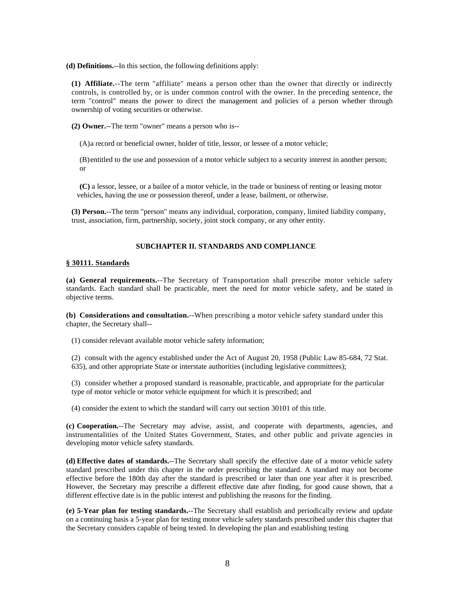**(d) Definitions.**--In this section, the following definitions apply:

**(1) Affiliate.**--The term "affiliate" means a person other than the owner that directly or indirectly controls, is controlled by, or is under common control with the owner. In the preceding sentence, the term "control" means the power to direct the management and policies of a person whether through ownership of voting securities or otherwise.

**(2) Owner.**--The term "owner" means a person who is--

(A)a record or beneficial owner, holder of title, lessor, or lessee of a motor vehicle;

(B)entitled to the use and possession of a motor vehicle subject to a security interest in another person; or

**(C)** a lessor, lessee, or a bailee of a motor vehicle, in the trade or business of renting or leasing motor vehicles, having the use or possession thereof, under a lease, bailment, or otherwise.

**(3) Person.**--The term "person" means any individual, corporation, company, limited liability company, trust, association, firm, partnership, society, joint stock company, or any other entity.

# **SUBCHAPTER II. STANDARDS AND COMPLIANCE**

# **§ 30111. Standards**

**(a) General requirements.**--The Secretary of Transportation shall prescribe motor vehicle safety standards. Each standard shall be practicable, meet the need for motor vehicle safety, and be stated in objective terms.

**(b) Considerations and consultation.**--When prescribing a motor vehicle safety standard under this chapter, the Secretary shall--

(1) consider relevant available motor vehicle safety information;

(2) consult with the agency established under the Act of August 20, 1958 (Public Law 85-684, 72 Stat. 635), and other appropriate State or interstate authorities (including legislative committees);

(3) consider whether a proposed standard is reasonable, practicable, and appropriate for the particular type of motor vehicle or motor vehicle equipment for which it is prescribed; and

(4) consider the extent to which the standard will carry out section 30101 of this title.

**(c) Cooperation.**--The Secretary may advise, assist, and cooperate with departments, agencies, and instrumentalities of the United States Government, States, and other public and private agencies in developing motor vehicle safety standards.

**(d) Effective dates of standards.**--The Secretary shall specify the effective date of a motor vehicle safety standard prescribed under this chapter in the order prescribing the standard. A standard may not become effective before the 180th day after the standard is prescribed or later than one year after it is prescribed. However, the Secretary may prescribe a different effective date after finding, for good cause shown, that a different effective date is in the public interest and publishing the reasons for the finding.

**(e) 5-Year plan for testing standards.**--The Secretary shall establish and periodically review and update on a continuing basis a 5-year plan for testing motor vehicle safety standards prescribed under this chapter that the Secretary considers capable of being tested. In developing the plan and establishing testing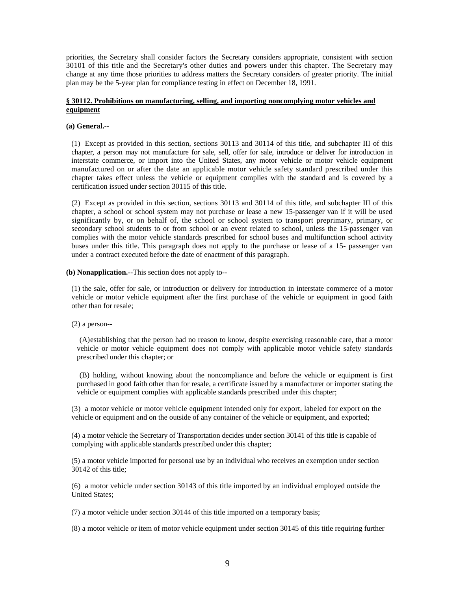priorities, the Secretary shall consider factors the Secretary considers appropriate, consistent with section 30101 of this title and the Secretary's other duties and powers under this chapter. The Secretary may change at any time those priorities to address matters the Secretary considers of greater priority. The initial plan may be the 5-year plan for compliance testing in effect on December 18, 1991.

# **§ 30112. Prohibitions on manufacturing, selling, and importing noncomplying motor vehicles and equipment**

### **(a) General.--**

(1) Except as provided in this section, sections 30113 and 30114 of this title, and subchapter III of this chapter, a person may not manufacture for sale, sell, offer for sale, introduce or deliver for introduction in interstate commerce, or import into the United States, any motor vehicle or motor vehicle equipment manufactured on or after the date an applicable motor vehicle safety standard prescribed under this chapter takes effect unless the vehicle or equipment complies with the standard and is covered by a certification issued under section 30115 of this title.

(2) Except as provided in this section, sections 30113 and 30114 of this title, and subchapter III of this chapter, a school or school system may not purchase or lease a new 15-passenger van if it will be used significantly by, or on behalf of, the school or school system to transport preprimary, primary, or secondary school students to or from school or an event related to school, unless the 15-passenger van complies with the motor vehicle standards prescribed for school buses and multifunction school activity buses under this title. This paragraph does not apply to the purchase or lease of a 15- passenger van under a contract executed before the date of enactment of this paragraph.

**(b) Nonapplication.**--This section does not apply to--

(1) the sale, offer for sale, or introduction or delivery for introduction in interstate commerce of a motor vehicle or motor vehicle equipment after the first purchase of the vehicle or equipment in good faith other than for resale;

(2) a person--

(A)establishing that the person had no reason to know, despite exercising reasonable care, that a motor vehicle or motor vehicle equipment does not comply with applicable motor vehicle safety standards prescribed under this chapter; or

(B) holding, without knowing about the noncompliance and before the vehicle or equipment is first purchased in good faith other than for resale, a certificate issued by a manufacturer or importer stating the vehicle or equipment complies with applicable standards prescribed under this chapter;

(3) a motor vehicle or motor vehicle equipment intended only for export, labeled for export on the vehicle or equipment and on the outside of any container of the vehicle or equipment, and exported;

(4) a motor vehicle the Secretary of Transportation decides under section 30141 of this title is capable of complying with applicable standards prescribed under this chapter;

(5) a motor vehicle imported for personal use by an individual who receives an exemption under section 30142 of this title;

(6) a motor vehicle under section 30143 of this title imported by an individual employed outside the United States;

(7) a motor vehicle under section 30144 of this title imported on a temporary basis;

(8) a motor vehicle or item of motor vehicle equipment under section 30145 of this title requiring further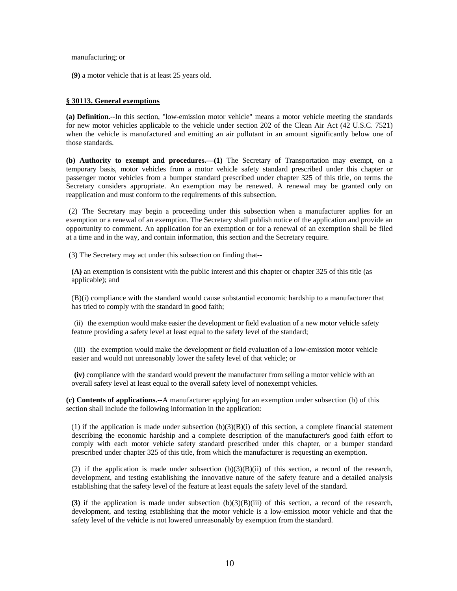manufacturing; or

**(9)** a motor vehicle that is at least 25 years old.

# **§ 30113. General exemptions**

**(a) Definition.**--In this section, "low-emission motor vehicle" means a motor vehicle meeting the standards for new motor vehicles applicable to the vehicle under section 202 of the Clean Air Act (42 U.S.C. 7521) when the vehicle is manufactured and emitting an air pollutant in an amount significantly below one of those standards.

**(b) Authority to exempt and procedures.—(1)** The Secretary of Transportation may exempt, on a temporary basis, motor vehicles from a motor vehicle safety standard prescribed under this chapter or passenger motor vehicles from a bumper standard prescribed under chapter 325 of this title, on terms the Secretary considers appropriate. An exemption may be renewed. A renewal may be granted only on reapplication and must conform to the requirements of this subsection.

(2) The Secretary may begin a proceeding under this subsection when a manufacturer applies for an exemption or a renewal of an exemption. The Secretary shall publish notice of the application and provide an opportunity to comment. An application for an exemption or for a renewal of an exemption shall be filed at a time and in the way, and contain information, this section and the Secretary require.

(3) The Secretary may act under this subsection on finding that--

**(A)** an exemption is consistent with the public interest and this chapter or chapter 325 of this title (as applicable); and

(B)(i) compliance with the standard would cause substantial economic hardship to a manufacturer that has tried to comply with the standard in good faith;

(ii) the exemption would make easier the development or field evaluation of a new motor vehicle safety feature providing a safety level at least equal to the safety level of the standard;

(iii) the exemption would make the development or field evaluation of a low-emission motor vehicle easier and would not unreasonably lower the safety level of that vehicle; or

**(iv)** compliance with the standard would prevent the manufacturer from selling a motor vehicle with an overall safety level at least equal to the overall safety level of nonexempt vehicles.

**(c) Contents of applications.**--A manufacturer applying for an exemption under subsection (b) of this section shall include the following information in the application:

(1) if the application is made under subsection  $(b)(3)(B)(i)$  of this section, a complete financial statement describing the economic hardship and a complete description of the manufacturer's good faith effort to comply with each motor vehicle safety standard prescribed under this chapter, or a bumper standard prescribed under chapter 325 of this title, from which the manufacturer is requesting an exemption.

(2) if the application is made under subsection  $(b)(3)(B)(ii)$  of this section, a record of the research, development, and testing establishing the innovative nature of the safety feature and a detailed analysis establishing that the safety level of the feature at least equals the safety level of the standard.

**(3)** if the application is made under subsection (b)(3)(B)(iii) of this section, a record of the research, development, and testing establishing that the motor vehicle is a low-emission motor vehicle and that the safety level of the vehicle is not lowered unreasonably by exemption from the standard.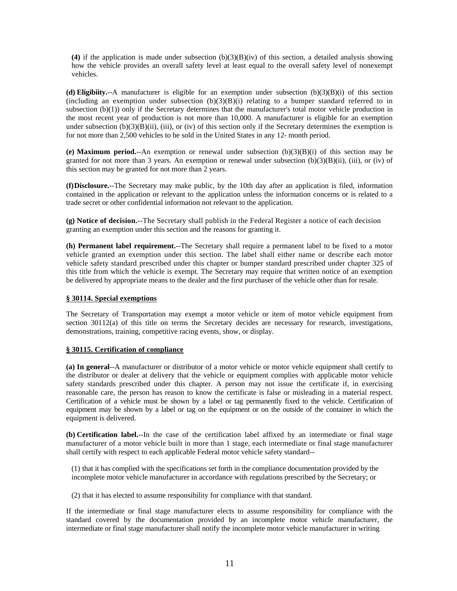**(4)** if the application is made under subsection (b)(3)(B)(iv) of this section, a detailed analysis showing how the vehicle provides an overall safety level at least equal to the overall safety level of nonexempt vehicles.

**(d) Eligibiity.**--A manufacturer is eligible for an exemption under subsection (b)(3)(B)(i) of this section (including an exemption under subsection  $(b)(3)(B)(i)$  relating to a bumper standard referred to in subsection (b)(1)) only if the Secretary determines that the manufacturer's total motor vehicle production in the most recent year of production is not more than 10,000. A manufacturer is eligible for an exemption under subsection  $(b)(3)(B)(ii)$ , (iii), or (iv) of this section only if the Secretary determines the exemption is for not more than 2,500 vehicles to be sold in the United States in any 12- month period.

**(e) Maximum period.**--An exemption or renewal under subsection (b)(3)(B)(i) of this section may be granted for not more than 3 years. An exemption or renewal under subsection  $(b)(3)(B)(ii)$ , (iii), or (iv) of this section may be granted for not more than 2 years.

**(f)Disclosure.**--The Secretary may make public, by the 10th day after an application is filed, information contained in the application or relevant to the application unless the information concerns or is related to a trade secret or other confidential information not relevant to the application.

**(g) Notice of decision.**--The Secretary shall publish in the Federal Register a notice of each decision granting an exemption under this section and the reasons for granting it.

**(h) Permanent label requirement.**--The Secretary shall require a permanent label to be fixed to a motor vehicle granted an exemption under this section. The label shall either name or describe each motor vehicle safety standard prescribed under this chapter or bumper standard prescribed under chapter 325 of this title from which the vehicle is exempt. The Secretary may require that written notice of an exemption be delivered by appropriate means to the dealer and the first purchaser of the vehicle other than for resale.

# **§ 30114. Special exemptions**

The Secretary of Transportation may exempt a motor vehicle or item of motor vehicle equipment from section 30112(a) of this title on terms the Secretary decides are necessary for research, investigations, demonstrations, training, competitive racing events, show, or display.

# **§ 30115. Certification of compliance**

**(a) In general**--A manufacturer or distributor of a motor vehicle or motor vehicle equipment shall certify to the distributor or dealer at delivery that the vehicle or equipment complies with applicable motor vehicle safety standards prescribed under this chapter. A person may not issue the certificate if, in exercising reasonable care, the person has reason to know the certificate is false or misleading in a material respect. Certification of a vehicle must be shown by a label or tag permanently fixed to the vehicle. Certification of equipment may be shown by a label or tag on the equipment or on the outside of the container in which the equipment is delivered.

**(b) Certification label.**--In the case of the certification label affixed by an intermediate or final stage manufacturer of a motor vehicle built in more than 1 stage, each intermediate or final stage manufacturer shall certify with respect to each applicable Federal motor vehicle safety standard--

(1) that it has complied with the specifications set forth in the compliance documentation provided by the incomplete motor vehicle manufacturer in accordance with regulations prescribed by the Secretary; or

(2) that it has elected to assume responsibility for compliance with that standard.

If the intermediate or final stage manufacturer elects to assume responsibility for compliance with the standard covered by the documentation provided by an incomplete motor vehicle manufacturer, the intermediate or final stage manufacturer shall notify the incomplete motor vehicle manufacturer in writing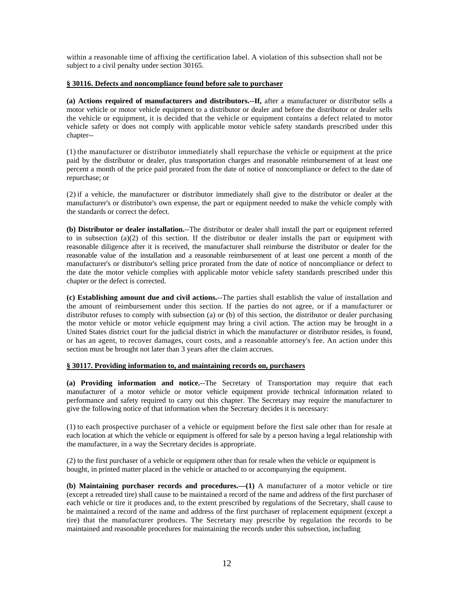within a reasonable time of affixing the certification label. A violation of this subsection shall not be subject to a civil penalty under section 30165.

# **§ 30116. Defects and noncompliance found before sale to purchaser**

**(a) Actions required of manufacturers and distributors.--If,** after a manufacturer or distributor sells a motor vehicle or motor vehicle equipment to a distributor or dealer and before the distributor or dealer sells the vehicle or equipment, it is decided that the vehicle or equipment contains a defect related to motor vehicle safety or does not comply with applicable motor vehicle safety standards prescribed under this chapter--

(1) the manufacturer or distributor immediately shall repurchase the vehicle or equipment at the price paid by the distributor or dealer, plus transportation charges and reasonable reimbursement of at least one percent a month of the price paid prorated from the date of notice of noncompliance or defect to the date of repurchase; or

(2) if a vehicle, the manufacturer or distributor immediately shall give to the distributor or dealer at the manufacturer's or distributor's own expense, the part or equipment needed to make the vehicle comply with the standards or correct the defect.

**(b) Distributor or dealer installation.**--The distributor or dealer shall install the part or equipment referred to in subsection (a)(2) of this section. If the distributor or dealer installs the part or equipment with reasonable diligence after it is received, the manufacturer shall reimburse the distributor or dealer for the reasonable value of the installation and a reasonable reimbursement of at least one percent a month of the manufacturer's or distributor's selling price prorated from the date of notice of noncompliance or defect to the date the motor vehicle complies with applicable motor vehicle safety standards prescribed under this chapter or the defect is corrected.

**(c) Establishing amount due and civil actions.**--The parties shall establish the value of installation and the amount of reimbursement under this section. If the parties do not agree, or if a manufacturer or distributor refuses to comply with subsection (a) or (b) of this section, the distributor or dealer purchasing the motor vehicle or motor vehicle equipment may bring a civil action. The action may be brought in a United States district court for the judicial district in which the manufacturer or distributor resides, is found, or has an agent, to recover damages, court costs, and a reasonable attorney's fee. An action under this section must be brought not later than 3 years after the claim accrues.

# **§ 30117. Providing information to, and maintaining records on, purchasers**

**(a) Providing information and notice.**--The Secretary of Transportation may require that each manufacturer of a motor vehicle or motor vehicle equipment provide technical information related to performance and safety required to carry out this chapter. The Secretary may require the manufacturer to give the following notice of that information when the Secretary decides it is necessary:

(1) to each prospective purchaser of a vehicle or equipment before the first sale other than for resale at each location at which the vehicle or equipment is offered for sale by a person having a legal relationship with the manufacturer, in a way the Secretary decides is appropriate.

(2) to the first purchaser of a vehicle or equipment other than for resale when the vehicle or equipment is bought, in printed matter placed in the vehicle or attached to or accompanying the equipment.

**(b) Maintaining purchaser records and procedures.—(1)** A manufacturer of a motor vehicle or tire (except a retreaded tire) shall cause to be maintained a record of the name and address of the first purchaser of each vehicle or tire it produces and, to the extent prescribed by regulations of the Secretary, shall cause to be maintained a record of the name and address of the first purchaser of replacement equipment (except a tire) that the manufacturer produces. The Secretary may prescribe by regulation the records to be maintained and reasonable procedures for maintaining the records under this subsection, including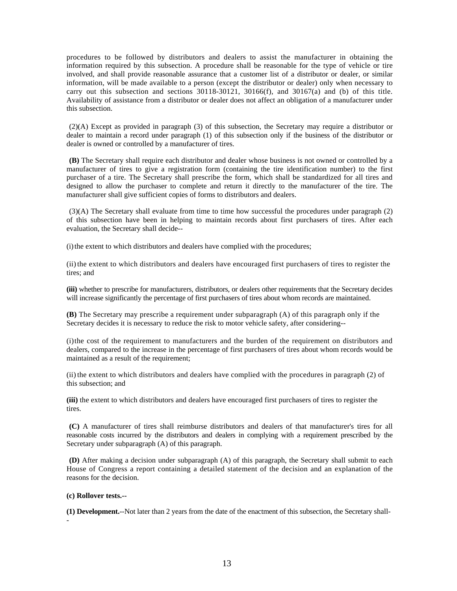procedures to be followed by distributors and dealers to assist the manufacturer in obtaining the information required by this subsection. A procedure shall be reasonable for the type of vehicle or tire involved, and shall provide reasonable assurance that a customer list of a distributor or dealer, or similar information, will be made available to a person (except the distributor or dealer) only when necessary to carry out this subsection and sections  $30118-30121$ ,  $30166(f)$ , and  $30167(a)$  and (b) of this title. Availability of assistance from a distributor or dealer does not affect an obligation of a manufacturer under this subsection.

(2)(A) Except as provided in paragraph (3) of this subsection, the Secretary may require a distributor or dealer to maintain a record under paragraph (1) of this subsection only if the business of the distributor or dealer is owned or controlled by a manufacturer of tires.

**(B)** The Secretary shall require each distributor and dealer whose business is not owned or controlled by a manufacturer of tires to give a registration form (containing the tire identification number) to the first purchaser of a tire. The Secretary shall prescribe the form, which shall be standardized for all tires and designed to allow the purchaser to complete and return it directly to the manufacturer of the tire. The manufacturer shall give sufficient copies of forms to distributors and dealers.

(3)(A) The Secretary shall evaluate from time to time how successful the procedures under paragraph (2) of this subsection have been in helping to maintain records about first purchasers of tires. After each evaluation, the Secretary shall decide--

(i) the extent to which distributors and dealers have complied with the procedures;

(ii)the extent to which distributors and dealers have encouraged first purchasers of tires to register the tires; and

**(iii)** whether to prescribe for manufacturers, distributors, or dealers other requirements that the Secretary decides will increase significantly the percentage of first purchasers of tires about whom records are maintained.

**(B)** The Secretary may prescribe a requirement under subparagraph (A) of this paragraph only if the Secretary decides it is necessary to reduce the risk to motor vehicle safety, after considering--

(i)the cost of the requirement to manufacturers and the burden of the requirement on distributors and dealers, compared to the increase in the percentage of first purchasers of tires about whom records would be maintained as a result of the requirement;

 $(i)$ ; ii) the extent to which distributors and dealers have complied with the procedures in paragraph  $(2)$  of this subsection; and

**(iii)** the extent to which distributors and dealers have encouraged first purchasers of tires to register the tires.

**(C)** A manufacturer of tires shall reimburse distributors and dealers of that manufacturer's tires for all reasonable costs incurred by the distributors and dealers in complying with a requirement prescribed by the Secretary under subparagraph (A) of this paragraph.

**(D)** After making a decision under subparagraph (A) of this paragraph, the Secretary shall submit to each House of Congress a report containing a detailed statement of the decision and an explanation of the reasons for the decision.

### **(c) Rollover tests.--**

-

**(1) Development.**--Not later than 2 years from the date of the enactment of this subsection, the Secretary shall-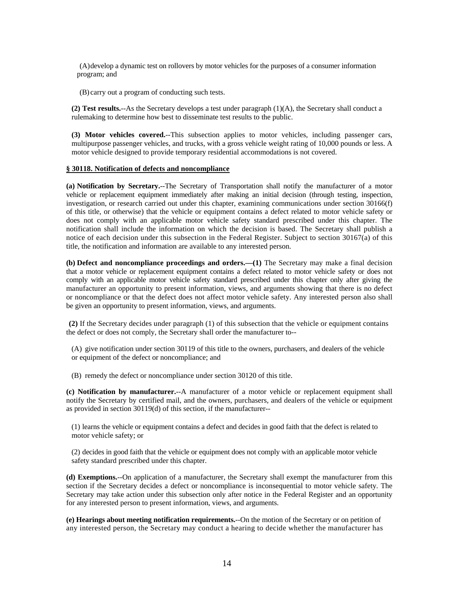(A)develop a dynamic test on rollovers by motor vehicles for the purposes of a consumer information program; and

(B) carry out a program of conducting such tests.

**(2) Test results.**--As the Secretary develops a test under paragraph (1)(A), the Secretary shall conduct a rulemaking to determine how best to disseminate test results to the public.

**(3) Motor vehicles covered.**--This subsection applies to motor vehicles, including passenger cars, multipurpose passenger vehicles, and trucks, with a gross vehicle weight rating of 10,000 pounds or less. A motor vehicle designed to provide temporary residential accommodations is not covered.

# **§ 30118. Notification of defects and noncompliance**

**(a) Notification by Secretary.**--The Secretary of Transportation shall notify the manufacturer of a motor vehicle or replacement equipment immediately after making an initial decision (through testing, inspection, investigation, or research carried out under this chapter, examining communications under section 30166(f) of this title, or otherwise) that the vehicle or equipment contains a defect related to motor vehicle safety or does not comply with an applicable motor vehicle safety standard prescribed under this chapter. The notification shall include the information on which the decision is based. The Secretary shall publish a notice of each decision under this subsection in the Federal Register. Subject to section 30167(a) of this title, the notification and information are available to any interested person.

**(b) Defect and noncompliance proceedings and orders.—(1)** The Secretary may make a final decision that a motor vehicle or replacement equipment contains a defect related to motor vehicle safety or does not comply with an applicable motor vehicle safety standard prescribed under this chapter only after giving the manufacturer an opportunity to present information, views, and arguments showing that there is no defect or noncompliance or that the defect does not affect motor vehicle safety. Any interested person also shall be given an opportunity to present information, views, and arguments.

**(2)** If the Secretary decides under paragraph (1) of this subsection that the vehicle or equipment contains the defect or does not comply, the Secretary shall order the manufacturer to--

(A) give notification under section 30119 of this title to the owners, purchasers, and dealers of the vehicle or equipment of the defect or noncompliance; and

(B) remedy the defect or noncompliance under section 30120 of this title.

**(c) Notification by manufacturer.**--A manufacturer of a motor vehicle or replacement equipment shall notify the Secretary by certified mail, and the owners, purchasers, and dealers of the vehicle or equipment as provided in section 30119(d) of this section, if the manufacturer--

(1) learns the vehicle or equipment contains a defect and decides in good faith that the defect is related to motor vehicle safety; or

(2) decides in good faith that the vehicle or equipment does not comply with an applicable motor vehicle safety standard prescribed under this chapter.

**(d) Exemptions.**--On application of a manufacturer, the Secretary shall exempt the manufacturer from this section if the Secretary decides a defect or noncompliance is inconsequential to motor vehicle safety. The Secretary may take action under this subsection only after notice in the Federal Register and an opportunity for any interested person to present information, views, and arguments.

**(e) Hearings about meeting notification requirements.**--On the motion of the Secretary or on petition of any interested person, the Secretary may conduct a hearing to decide whether the manufacturer has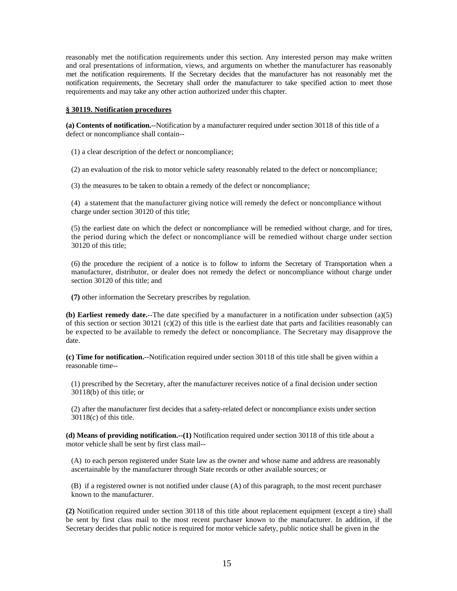reasonably met the notification requirements under this section. Any interested person may make written and oral presentations of information, views, and arguments on whether the manufacturer has reasonably met the notification requirements. If the Secretary decides that the manufacturer has not reasonably met the notification requirements, the Secretary shall order the manufacturer to take specified action to meet those requirements and may take any other action authorized under this chapter.

# **§ 30119. Notification procedures**

**(a) Contents of notification.**--Notification by a manufacturer required under section 30118 of this title of a defect or noncompliance shall contain--

(1) a clear description of the defect or noncompliance;

(2) an evaluation of the risk to motor vehicle safety reasonably related to the defect or noncompliance;

(3) the measures to be taken to obtain a remedy of the defect or noncompliance;

(4) a statement that the manufacturer giving notice will remedy the defect or noncompliance without charge under section 30120 of this title;

(5) the earliest date on which the defect or noncompliance will be remedied without charge, and for tires, the period during which the defect or noncompliance will be remedied without charge under section 30120 of this title;

(6) the procedure the recipient of a notice is to follow to inform the Secretary of Transportation when a manufacturer, distributor, or dealer does not remedy the defect or noncompliance without charge under section 30120 of this title; and

**(7)** other information the Secretary prescribes by regulation.

**(b) Earliest remedy date.**--The date specified by a manufacturer in a notification under subsection (a)(5) of this section or section 30121 (c)(2) of this title is the earliest date that parts and facilities reasonably can be expected to be available to remedy the defect or noncompliance. The Secretary may disapprove the date.

**(c) Time for notification.**--Notification required under section 30118 of this title shall be given within a reasonable time--

(1) prescribed by the Secretary, after the manufacturer receives notice of a final decision under section 30118(b) of this title; or

(2) after the manufacturer first decides that a safety-related defect or noncompliance exists under section 30118(c) of this title.

**(d) Means of providing notification.--(1)** Notification required under section 30118 of this title about a motor vehicle shall be sent by first class mail--

(A) to each person registered under State law as the owner and whose name and address are reasonably ascertainable by the manufacturer through State records or other available sources; or

(B) if a registered owner is not notified under clause (A) of this paragraph, to the most recent purchaser known to the manufacturer.

**(2)** Notification required under section 30118 of this title about replacement equipment (except a tire) shall be sent by first class mail to the most recent purchaser known to the manufacturer. In addition, if the Secretary decides that public notice is required for motor vehicle safety, public notice shall be given in the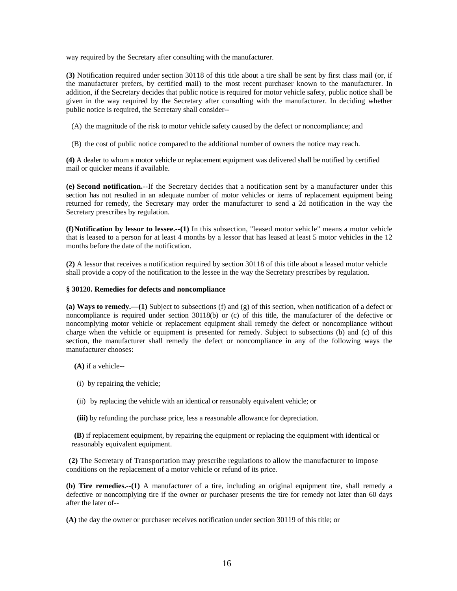way required by the Secretary after consulting with the manufacturer.

**(3)** Notification required under section 30118 of this title about a tire shall be sent by first class mail (or, if the manufacturer prefers, by certified mail) to the most recent purchaser known to the manufacturer. In addition, if the Secretary decides that public notice is required for motor vehicle safety, public notice shall be given in the way required by the Secretary after consulting with the manufacturer. In deciding whether public notice is required, the Secretary shall consider--

- (A) the magnitude of the risk to motor vehicle safety caused by the defect or noncompliance; and
- (B) the cost of public notice compared to the additional number of owners the notice may reach.

**(4)** A dealer to whom a motor vehicle or replacement equipment was delivered shall be notified by certified mail or quicker means if available.

**(e) Second notification.**--If the Secretary decides that a notification sent by a manufacturer under this section has not resulted in an adequate number of motor vehicles or items of replacement equipment being returned for remedy, the Secretary may order the manufacturer to send a 2d notification in the way the Secretary prescribes by regulation.

**(f)Notification by lessor to lessee.--(1)** In this subsection, "leased motor vehicle" means a motor vehicle that is leased to a person for at least 4 months by a lessor that has leased at least 5 motor vehicles in the 12 months before the date of the notification.

**(2)** A lessor that receives a notification required by section 30118 of this title about a leased motor vehicle shall provide a copy of the notification to the lessee in the way the Secretary prescribes by regulation.

#### **§ 30120. Remedies for defects and noncompliance**

**(a) Ways to remedy.—(1)** Subject to subsections (f) and (g) of this section, when notification of a defect or noncompliance is required under section 30118(b) or (c) of this title, the manufacturer of the defective or noncomplying motor vehicle or replacement equipment shall remedy the defect or noncompliance without charge when the vehicle or equipment is presented for remedy. Subject to subsections (b) and (c) of this section, the manufacturer shall remedy the defect or noncompliance in any of the following ways the manufacturer chooses:

- **(A)** if a vehicle--
- (i) by repairing the vehicle;
- (ii) by replacing the vehicle with an identical or reasonably equivalent vehicle; or
- **(iii)** by refunding the purchase price, less a reasonable allowance for depreciation.

**(B)** if replacement equipment, by repairing the equipment or replacing the equipment with identical or reasonably equivalent equipment.

**(2)** The Secretary of Transportation may prescribe regulations to allow the manufacturer to impose conditions on the replacement of a motor vehicle or refund of its price.

**(b) Tire remedies.--(1)** A manufacturer of a tire, including an original equipment tire, shall remedy a defective or noncomplying tire if the owner or purchaser presents the tire for remedy not later than 60 days after the later of--

**(A)** the day the owner or purchaser receives notification under section 30119 of this title; or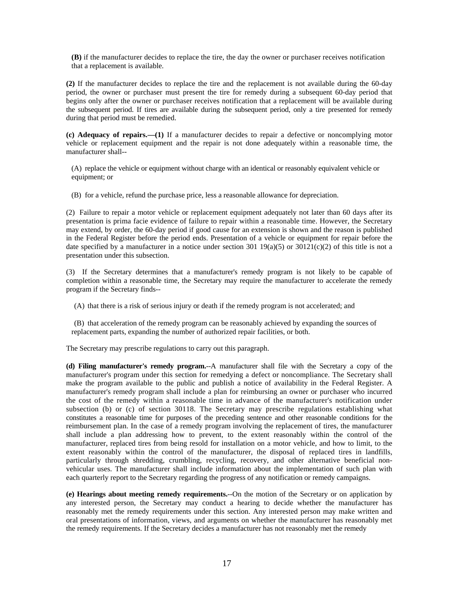**(B)** if the manufacturer decides to replace the tire, the day the owner or purchaser receives notification that a replacement is available.

**(2)** If the manufacturer decides to replace the tire and the replacement is not available during the 60-day period, the owner or purchaser must present the tire for remedy during a subsequent 60-day period that begins only after the owner or purchaser receives notification that a replacement will be available during the subsequent period. If tires are available during the subsequent period, only a tire presented for remedy during that period must be remedied.

**(c) Adequacy of repairs.—(1)** If a manufacturer decides to repair a defective or noncomplying motor vehicle or replacement equipment and the repair is not done adequately within a reasonable time, the manufacturer shall--

(A) replace the vehicle or equipment without charge with an identical or reasonably equivalent vehicle or equipment; or

(B) for a vehicle, refund the purchase price, less a reasonable allowance for depreciation.

(2) Failure to repair a motor vehicle or replacement equipment adequately not later than 60 days after its presentation is prima facie evidence of failure to repair within a reasonable time. However, the Secretary may extend, by order, the 60-day period if good cause for an extension is shown and the reason is published in the Federal Register before the period ends. Presentation of a vehicle or equipment for repair before the date specified by a manufacturer in a notice under section 301 19(a)(5) or 30121(c)(2) of this title is not a presentation under this subsection.

(3) If the Secretary determines that a manufacturer's remedy program is not likely to be capable of completion within a reasonable time, the Secretary may require the manufacturer to accelerate the remedy program if the Secretary finds--

(A) that there is a risk of serious injury or death if the remedy program is not accelerated; and

(B) that acceleration of the remedy program can be reasonably achieved by expanding the sources of replacement parts, expanding the number of authorized repair facilities, or both.

The Secretary may prescribe regulations to carry out this paragraph.

**(d) Filing manufacturer's remedy program.**--A manufacturer shall file with the Secretary a copy of the manufacturer's program under this section for remedying a defect or noncompliance. The Secretary shall make the program available to the public and publish a notice of availability in the Federal Register. A manufacturer's remedy program shall include a plan for reimbursing an owner or purchaser who incurred the cost of the remedy within a reasonable time in advance of the manufacturer's notification under subsection (b) or (c) of section 30118. The Secretary may prescribe regulations establishing what constitutes a reasonable time for purposes of the preceding sentence and other reasonable conditions for the reimbursement plan. In the case of a remedy program involving the replacement of tires, the manufacturer shall include a plan addressing how to prevent, to the extent reasonably within the control of the manufacturer, replaced tires from being resold for installation on a motor vehicle, and how to limit, to the extent reasonably within the control of the manufacturer, the disposal of replaced tires in landfills, particularly through shredding, crumbling, recycling, recovery, and other alternative beneficial nonvehicular uses. The manufacturer shall include information about the implementation of such plan with each quarterly report to the Secretary regarding the progress of any notification or remedy campaigns.

**(e) Hearings about meeting remedy requirements.**--On the motion of the Secretary or on application by any interested person, the Secretary may conduct a hearing to decide whether the manufacturer has reasonably met the remedy requirements under this section. Any interested person may make written and oral presentations of information, views, and arguments on whether the manufacturer has reasonably met the remedy requirements. If the Secretary decides a manufacturer has not reasonably met the remedy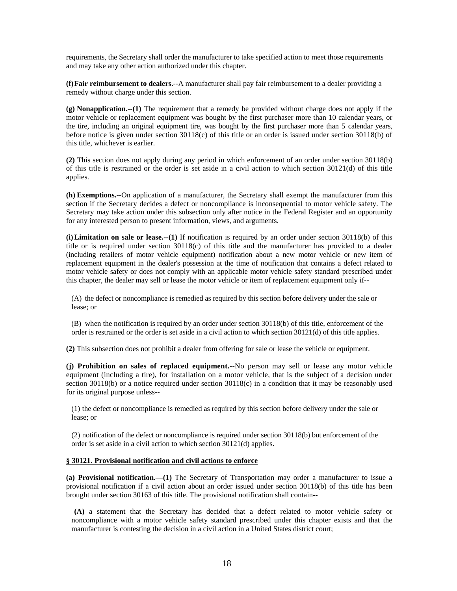requirements, the Secretary shall order the manufacturer to take specified action to meet those requirements and may take any other action authorized under this chapter.

**(f)Fair reimbursement to dealers.**--A manufacturer shall pay fair reimbursement to a dealer providing a remedy without charge under this section.

**(g) Nonapplication.--(1)** The requirement that a remedy be provided without charge does not apply if the motor vehicle or replacement equipment was bought by the first purchaser more than 10 calendar years, or the tire, including an original equipment tire, was bought by the first purchaser more than 5 calendar years, before notice is given under section 30118(c) of this title or an order is issued under section 30118(b) of this title, whichever is earlier.

**(2)** This section does not apply during any period in which enforcement of an order under section 30118(b) of this title is restrained or the order is set aside in a civil action to which section 30121(d) of this title applies.

**(h) Exemptions.**--On application of a manufacturer, the Secretary shall exempt the manufacturer from this section if the Secretary decides a defect or noncompliance is inconsequential to motor vehicle safety. The Secretary may take action under this subsection only after notice in the Federal Register and an opportunity for any interested person to present information, views, and arguments.

**(i)Limitation on sale or lease.--(1)** If notification is required by an order under section 30118(b) of this title or is required under section 30118(c) of this title and the manufacturer has provided to a dealer (including retailers of motor vehicle equipment) notification about a new motor vehicle or new item of replacement equipment in the dealer's possession at the time of notification that contains a defect related to motor vehicle safety or does not comply with an applicable motor vehicle safety standard prescribed under this chapter, the dealer may sell or lease the motor vehicle or item of replacement equipment only if--

(A) the defect or noncompliance is remedied as required by this section before delivery under the sale or lease; or

(B) when the notification is required by an order under section 30118(b) of this title, enforcement of the order is restrained or the order is set aside in a civil action to which section 30121(d) of this title applies.

**(2)** This subsection does not prohibit a dealer from offering for sale or lease the vehicle or equipment.

**(j) Prohibition on sales of replaced equipment.**--No person may sell or lease any motor vehicle equipment (including a tire), for installation on a motor vehicle, that is the subject of a decision under section 30118(b) or a notice required under section 30118(c) in a condition that it may be reasonably used for its original purpose unless--

(1) the defect or noncompliance is remedied as required by this section before delivery under the sale or lease; or

(2) notification of the defect or noncompliance is required under section 30118(b) but enforcement of the order is set aside in a civil action to which section 30121(d) applies.

# **§ 30121. Provisional notification and civil actions to enforce**

**(a) Provisional notification.—(1)** The Secretary of Transportation may order a manufacturer to issue a provisional notification if a civil action about an order issued under section 30118(b) of this title has been brought under section 30163 of this title. The provisional notification shall contain--

**(A)** a statement that the Secretary has decided that a defect related to motor vehicle safety or noncompliance with a motor vehicle safety standard prescribed under this chapter exists and that the manufacturer is contesting the decision in a civil action in a United States district court;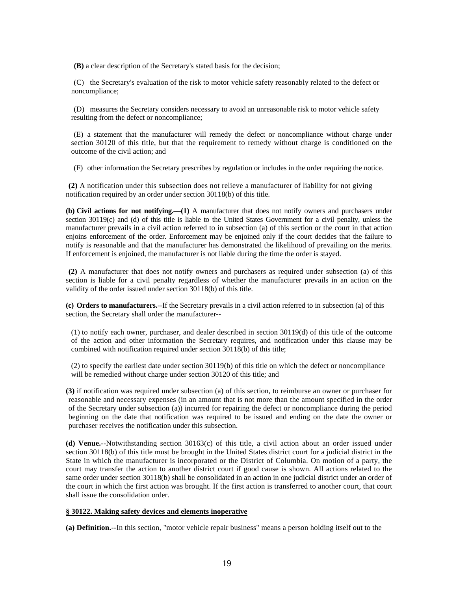**(B)** a clear description of the Secretary's stated basis for the decision;

(C) the Secretary's evaluation of the risk to motor vehicle safety reasonably related to the defect or noncompliance;

(D) measures the Secretary considers necessary to avoid an unreasonable risk to motor vehicle safety resulting from the defect or noncompliance;

(E) a statement that the manufacturer will remedy the defect or noncompliance without charge under section 30120 of this title, but that the requirement to remedy without charge is conditioned on the outcome of the civil action; and

(F) other information the Secretary prescribes by regulation or includes in the order requiring the notice.

**(2)** A notification under this subsection does not relieve a manufacturer of liability for not giving notification required by an order under section 30118(b) of this title.

**(b) Civil actions for not notifying.—(1)** A manufacturer that does not notify owners and purchasers under section 30119(c) and (d) of this title is liable to the United States Government for a civil penalty, unless the manufacturer prevails in a civil action referred to in subsection (a) of this section or the court in that action enjoins enforcement of the order. Enforcement may be enjoined only if the court decides that the failure to notify is reasonable and that the manufacturer has demonstrated the likelihood of prevailing on the merits. If enforcement is enjoined, the manufacturer is not liable during the time the order is stayed.

**(2)** A manufacturer that does not notify owners and purchasers as required under subsection (a) of this section is liable for a civil penalty regardless of whether the manufacturer prevails in an action on the validity of the order issued under section 30118(b) of this title.

**(c) Orders to manufacturers.**--If the Secretary prevails in a civil action referred to in subsection (a) of this section, the Secretary shall order the manufacturer--

(1) to notify each owner, purchaser, and dealer described in section 30119(d) of this title of the outcome of the action and other information the Secretary requires, and notification under this clause may be combined with notification required under section 30118(b) of this title;

(2) to specify the earliest date under section 30119(b) of this title on which the defect or noncompliance will be remedied without charge under section 30120 of this title; and

**(3)** if notification was required under subsection (a) of this section, to reimburse an owner or purchaser for reasonable and necessary expenses (in an amount that is not more than the amount specified in the order of the Secretary under subsection (a)) incurred for repairing the defect or noncompliance during the period beginning on the date that notification was required to be issued and ending on the date the owner or purchaser receives the notification under this subsection.

**(d) Venue.**--Notwithstanding section 30163(c) of this title, a civil action about an order issued under section 30118(b) of this title must be brought in the United States district court for a judicial district in the State in which the manufacturer is incorporated or the District of Columbia. On motion of a party, the court may transfer the action to another district court if good cause is shown. All actions related to the same order under section 30118(b) shall be consolidated in an action in one judicial district under an order of the court in which the first action was brought. If the first action is transferred to another court, that court shall issue the consolidation order.

#### **§ 30122. Making safety devices and elements inoperative**

**(a) Definition.**--In this section, "motor vehicle repair business" means a person holding itself out to the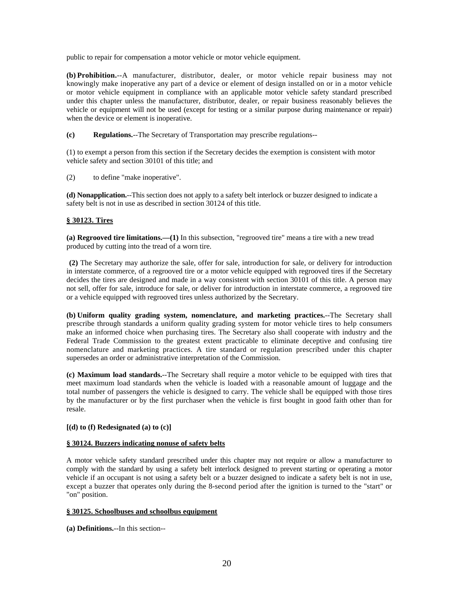public to repair for compensation a motor vehicle or motor vehicle equipment.

**(b) Prohibition.**--A manufacturer, distributor, dealer, or motor vehicle repair business may not knowingly make inoperative any part of a device or element of design installed on or in a motor vehicle or motor vehicle equipment in compliance with an applicable motor vehicle safety standard prescribed under this chapter unless the manufacturer, distributor, dealer, or repair business reasonably believes the vehicle or equipment will not be used (except for testing or a similar purpose during maintenance or repair) when the device or element is inoperative.

**(c) Regulations.**--The Secretary of Transportation may prescribe regulations--

(1) to exempt a person from this section if the Secretary decides the exemption is consistent with motor vehicle safety and section 30101 of this title; and

(2) to define "make inoperative".

**(d) Nonapplication.**--This section does not apply to a safety belt interlock or buzzer designed to indicate a safety belt is not in use as described in section 30124 of this title.

# **§ 30123. Tires**

**(a) Regrooved tire limitations.—(1)** In this subsection, "regrooved tire" means a tire with a new tread produced by cutting into the tread of a worn tire.

**(2)** The Secretary may authorize the sale, offer for sale, introduction for sale, or delivery for introduction in interstate commerce, of a regrooved tire or a motor vehicle equipped with regrooved tires if the Secretary decides the tires are designed and made in a way consistent with section 30101 of this title. A person may not sell, offer for sale, introduce for sale, or deliver for introduction in interstate commerce, a regrooved tire or a vehicle equipped with regrooved tires unless authorized by the Secretary.

**(b) Uniform quality grading system, nomenclature, and marketing practices.**--The Secretary shall prescribe through standards a uniform quality grading system for motor vehicle tires to help consumers make an informed choice when purchasing tires. The Secretary also shall cooperate with industry and the Federal Trade Commission to the greatest extent practicable to eliminate deceptive and confusing tire nomenclature and marketing practices. A tire standard or regulation prescribed under this chapter supersedes an order or administrative interpretation of the Commission.

**(c) Maximum load standards.**--The Secretary shall require a motor vehicle to be equipped with tires that meet maximum load standards when the vehicle is loaded with a reasonable amount of luggage and the total number of passengers the vehicle is designed to carry. The vehicle shall be equipped with those tires by the manufacturer or by the first purchaser when the vehicle is first bought in good faith other than for resale.

# **[(d) to (f) Redesignated (a) to (c)]**

# **§ 30124. Buzzers indicating nonuse of safety belts**

A motor vehicle safety standard prescribed under this chapter may not require or allow a manufacturer to comply with the standard by using a safety belt interlock designed to prevent starting or operating a motor vehicle if an occupant is not using a safety belt or a buzzer designed to indicate a safety belt is not in use, except a buzzer that operates only during the 8-second period after the ignition is turned to the "start" or "on" position.

# **§ 30125. Schoolbuses and schoolbus equipment**

**(a) Definitions.**--In this section--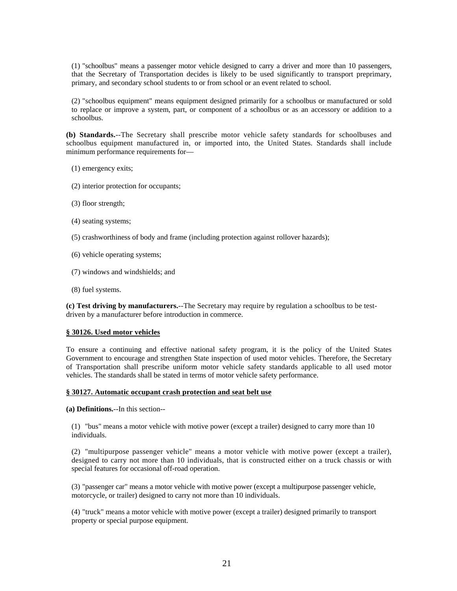(1) "schoolbus" means a passenger motor vehicle designed to carry a driver and more than 10 passengers, that the Secretary of Transportation decides is likely to be used significantly to transport preprimary, primary, and secondary school students to or from school or an event related to school.

(2) "schoolbus equipment" means equipment designed primarily for a schoolbus or manufactured or sold to replace or improve a system, part, or component of a schoolbus or as an accessory or addition to a schoolbus.

**(b) Standards.**--The Secretary shall prescribe motor vehicle safety standards for schoolbuses and schoolbus equipment manufactured in, or imported into, the United States. Standards shall include minimum performance requirements for—

(1) emergency exits;

- (2) interior protection for occupants;
- (3) floor strength;
- (4) seating systems;
- (5) crashworthiness of body and frame (including protection against rollover hazards);
- (6) vehicle operating systems;
- (7) windows and windshields; and
- (8) fuel systems.

**(c) Test driving by manufacturers.**--The Secretary may require by regulation a schoolbus to be testdriven by a manufacturer before introduction in commerce.

# **§ 30126. Used motor vehicles**

To ensure a continuing and effective national safety program, it is the policy of the United States Government to encourage and strengthen State inspection of used motor vehicles. Therefore, the Secretary of Transportation shall prescribe uniform motor vehicle safety standards applicable to all used motor vehicles. The standards shall be stated in terms of motor vehicle safety performance.

### **§ 30127. Automatic occupant crash protection and seat belt use**

**(a) Definitions.**--In this section--

(1) "bus" means a motor vehicle with motive power (except a trailer) designed to carry more than 10 individuals.

(2) "multipurpose passenger vehicle" means a motor vehicle with motive power (except a trailer), designed to carry not more than 10 individuals, that is constructed either on a truck chassis or with special features for occasional off-road operation.

(3) "passenger car" means a motor vehicle with motive power (except a multipurpose passenger vehicle, motorcycle, or trailer) designed to carry not more than 10 individuals.

(4) "truck" means a motor vehicle with motive power (except a trailer) designed primarily to transport property or special purpose equipment.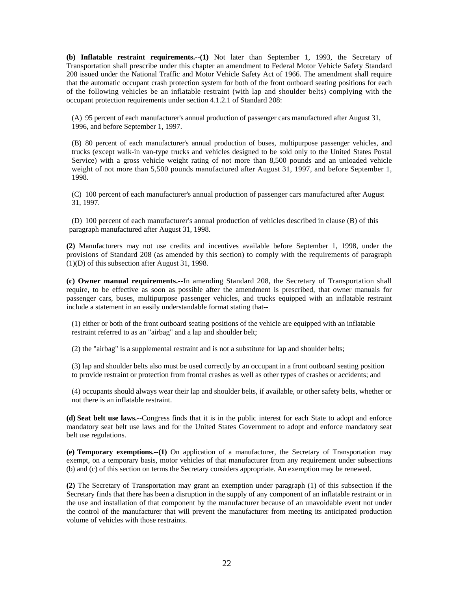**(b) Inflatable restraint requirements.--(1)** Not later than September 1, 1993, the Secretary of Transportation shall prescribe under this chapter an amendment to Federal Motor Vehicle Safety Standard 208 issued under the National Traffic and Motor Vehicle Safety Act of 1966. The amendment shall require that the automatic occupant crash protection system for both of the front outboard seating positions for each of the following vehicles be an inflatable restraint (with lap and shoulder belts) complying with the occupant protection requirements under section 4.1.2.1 of Standard 208:

(A) 95 percent of each manufacturer's annual production of passenger cars manufactured after August 31, 1996, and before September 1, 1997.

(B) 80 percent of each manufacturer's annual production of buses, multipurpose passenger vehicles, and trucks (except walk-in van-type trucks and vehicles designed to be sold only to the United States Postal Service) with a gross vehicle weight rating of not more than 8,500 pounds and an unloaded vehicle weight of not more than 5,500 pounds manufactured after August 31, 1997, and before September 1, 1998.

(C) 100 percent of each manufacturer's annual production of passenger cars manufactured after August 31, 1997.

(D) 100 percent of each manufacturer's annual production of vehicles described in clause (B) of this paragraph manufactured after August 31, 1998.

**(2)** Manufacturers may not use credits and incentives available before September 1, 1998, under the provisions of Standard 208 (as amended by this section) to comply with the requirements of paragraph (1)(D) of this subsection after August 31, 1998.

**(c) Owner manual requirements.**--In amending Standard 208, the Secretary of Transportation shall require, to be effective as soon as possible after the amendment is prescribed, that owner manuals for passenger cars, buses, multipurpose passenger vehicles, and trucks equipped with an inflatable restraint include a statement in an easily understandable format stating that--

(1) either or both of the front outboard seating positions of the vehicle are equipped with an inflatable restraint referred to as an "airbag" and a lap and shoulder belt;

(2) the "airbag" is a supplemental restraint and is not a substitute for lap and shoulder belts;

(3) lap and shoulder belts also must be used correctly by an occupant in a front outboard seating position to provide restraint or protection from frontal crashes as well as other types of crashes or accidents; and

(4) occupants should always wear their lap and shoulder belts, if available, or other safety belts, whether or not there is an inflatable restraint.

**(d) Seat belt use laws.**--Congress finds that it is in the public interest for each State to adopt and enforce mandatory seat belt use laws and for the United States Government to adopt and enforce mandatory seat belt use regulations.

**(e) Temporary exemptions.--(1)** On application of a manufacturer, the Secretary of Transportation may exempt, on a temporary basis, motor vehicles of that manufacturer from any requirement under subsections (b) and (c) of this section on terms the Secretary considers appropriate. An exemption may be renewed.

**(2)** The Secretary of Transportation may grant an exemption under paragraph (1) of this subsection if the Secretary finds that there has been a disruption in the supply of any component of an inflatable restraint or in the use and installation of that component by the manufacturer because of an unavoidable event not under the control of the manufacturer that will prevent the manufacturer from meeting its anticipated production volume of vehicles with those restraints.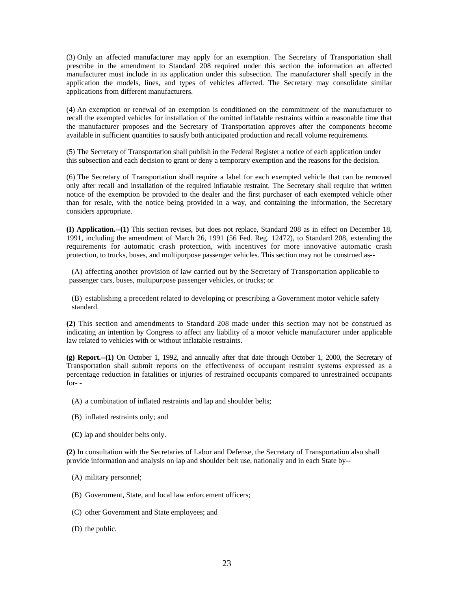(3) Only an affected manufacturer may apply for an exemption. The Secretary of Transportation shall prescribe in the amendment to Standard 208 required under this section the information an affected manufacturer must include in its application under this subsection. The manufacturer shall specify in the application the models, lines, and types of vehicles affected. The Secretary may consolidate similar applications from different manufacturers.

(4) An exemption or renewal of an exemption is conditioned on the commitment of the manufacturer to recall the exempted vehicles for installation of the omitted inflatable restraints within a reasonable time that the manufacturer proposes and the Secretary of Transportation approves after the components become available in sufficient quantities to satisfy both anticipated production and recall volume requirements.

(5) The Secretary of Transportation shall publish in the Federal Register a notice of each application under this subsection and each decision to grant or deny a temporary exemption and the reasons for the decision.

(6) The Secretary of Transportation shall require a label for each exempted vehicle that can be removed only after recall and installation of the required inflatable restraint. The Secretary shall require that written notice of the exemption be provided to the dealer and the first purchaser of each exempted vehicle other than for resale, with the notice being provided in a way, and containing the information, the Secretary considers appropriate.

**(I) Application.--(1)** This section revises, but does not replace, Standard 208 as in effect on December 18, 1991, including the amendment of March 26, 1991 (56 Fed. Reg. 12472), to Standard 208, extending the requirements for automatic crash protection, with incentives for more innovative automatic crash protection, to trucks, buses, and multipurpose passenger vehicles. This section may not be construed as--

(A) affecting another provision of law carried out by the Secretary of Transportation applicable to passenger cars, buses, multipurpose passenger vehicles, or trucks; or

(B) establishing a precedent related to developing or prescribing a Government motor vehicle safety standard.

**(2)** This section and amendments to Standard 208 made under this section may not be construed as indicating an intention by Congress to affect any liability of a motor vehicle manufacturer under applicable law related to vehicles with or without inflatable restraints.

**(g) Report.--(1)** On October 1, 1992, and annually after that date through October 1, 2000, the Secretary of Transportation shall submit reports on the effectiveness of occupant restraint systems expressed as a percentage reduction in fatalities or injuries of restrained occupants compared to unrestrained occupants for- -

- (A) a combination of inflated restraints and lap and shoulder belts;
- (B) inflated restraints only; and
- **(C)** lap and shoulder belts only.

**(2)** In consultation with the Secretaries of Labor and Defense, the Secretary of Transportation also shall provide information and analysis on lap and shoulder belt use, nationally and in each State by--

- (A) military personnel;
- (B) Government, State, and local law enforcement officers;
- (C) other Government and State employees; and
- (D) the public.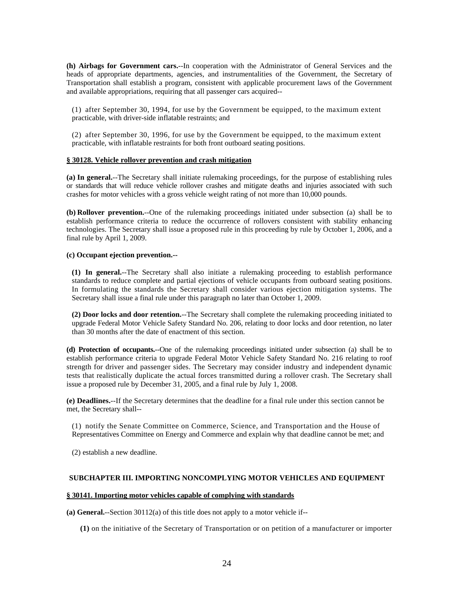**(h) Airbags for Government cars.**--In cooperation with the Administrator of General Services and the heads of appropriate departments, agencies, and instrumentalities of the Government, the Secretary of Transportation shall establish a program, consistent with applicable procurement laws of the Government and available appropriations, requiring that all passenger cars acquired--

(1) after September 30, 1994, for use by the Government be equipped, to the maximum extent practicable, with driver-side inflatable restraints; and

(2) after September 30, 1996, for use by the Government be equipped, to the maximum extent practicable, with inflatable restraints for both front outboard seating positions.

# **§ 30128. Vehicle rollover prevention and crash mitigation**

**(a) In general.**--The Secretary shall initiate rulemaking proceedings, for the purpose of establishing rules or standards that will reduce vehicle rollover crashes and mitigate deaths and injuries associated with such crashes for motor vehicles with a gross vehicle weight rating of not more than 10,000 pounds.

**(b) Rollover prevention.**--One of the rulemaking proceedings initiated under subsection (a) shall be to establish performance criteria to reduce the occurrence of rollovers consistent with stability enhancing technologies. The Secretary shall issue a proposed rule in this proceeding by rule by October 1, 2006, and a final rule by April 1, 2009.

# **(c) Occupant ejection prevention.--**

**(1) In general.**--The Secretary shall also initiate a rulemaking proceeding to establish performance standards to reduce complete and partial ejections of vehicle occupants from outboard seating positions. In formulating the standards the Secretary shall consider various ejection mitigation systems. The Secretary shall issue a final rule under this paragraph no later than October 1, 2009.

**(2) Door locks and door retention.**--The Secretary shall complete the rulemaking proceeding initiated to upgrade Federal Motor Vehicle Safety Standard No. 206, relating to door locks and door retention, no later than 30 months after the date of enactment of this section.

**(d) Protection of occupants.**--One of the rulemaking proceedings initiated under subsection (a) shall be to establish performance criteria to upgrade Federal Motor Vehicle Safety Standard No. 216 relating to roof strength for driver and passenger sides. The Secretary may consider industry and independent dynamic tests that realistically duplicate the actual forces transmitted during a rollover crash. The Secretary shall issue a proposed rule by December 31, 2005, and a final rule by July 1, 2008.

**(e) Deadlines.**--If the Secretary determines that the deadline for a final rule under this section cannot be met, the Secretary shall--

(1) notify the Senate Committee on Commerce, Science, and Transportation and the House of Representatives Committee on Energy and Commerce and explain why that deadline cannot be met; and

(2) establish a new deadline.

# **SUBCHAPTER III. IMPORTING NONCOMPLYING MOTOR VEHICLES AND EQUIPMENT**

# **§ 30141. Importing motor vehicles capable of complying with standards**

**(a) General.**--Section 30112(a) of this title does not apply to a motor vehicle if--

**(1)** on the initiative of the Secretary of Transportation or on petition of a manufacturer or importer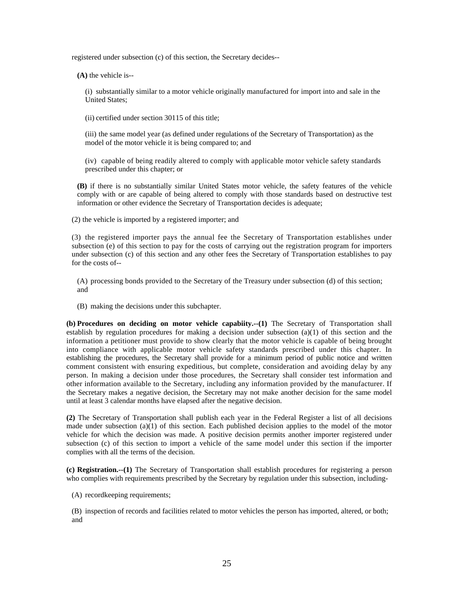registered under subsection (c) of this section, the Secretary decides--

**(A)** the vehicle is--

(i) substantially similar to a motor vehicle originally manufactured for import into and sale in the United States;

(ii) certified under section 30115 of this title;

(iii) the same model year (as defined under regulations of the Secretary of Transportation) as the model of the motor vehicle it is being compared to; and

(iv) capable of being readily altered to comply with applicable motor vehicle safety standards prescribed under this chapter; or

**(B)** if there is no substantially similar United States motor vehicle, the safety features of the vehicle comply with or are capable of being altered to comply with those standards based on destructive test information or other evidence the Secretary of Transportation decides is adequate;

(2) the vehicle is imported by a registered importer; and

(3) the registered importer pays the annual fee the Secretary of Transportation establishes under subsection (e) of this section to pay for the costs of carrying out the registration program for importers under subsection (c) of this section and any other fees the Secretary of Transportation establishes to pay for the costs of--

(A) processing bonds provided to the Secretary of the Treasury under subsection (d) of this section; and

(B) making the decisions under this subchapter.

**(b) Procedures on deciding on motor vehicle capabiity.--(1)** The Secretary of Transportation shall establish by regulation procedures for making a decision under subsection (a)(1) of this section and the information a petitioner must provide to show clearly that the motor vehicle is capable of being brought into compliance with applicable motor vehicle safety standards prescribed under this chapter. In establishing the procedures, the Secretary shall provide for a minimum period of public notice and written comment consistent with ensuring expeditious, but complete, consideration and avoiding delay by any person. In making a decision under those procedures, the Secretary shall consider test information and other information available to the Secretary, including any information provided by the manufacturer. If the Secretary makes a negative decision, the Secretary may not make another decision for the same model until at least 3 calendar months have elapsed after the negative decision.

**(2)** The Secretary of Transportation shall publish each year in the Federal Register a list of all decisions made under subsection  $(a)(1)$  of this section. Each published decision applies to the model of the motor vehicle for which the decision was made. A positive decision permits another importer registered under subsection (c) of this section to import a vehicle of the same model under this section if the importer complies with all the terms of the decision.

**(c) Registration.--(1)** The Secretary of Transportation shall establish procedures for registering a person who complies with requirements prescribed by the Secretary by regulation under this subsection, including-

(A) recordkeeping requirements;

(B) inspection of records and facilities related to motor vehicles the person has imported, altered, or both; and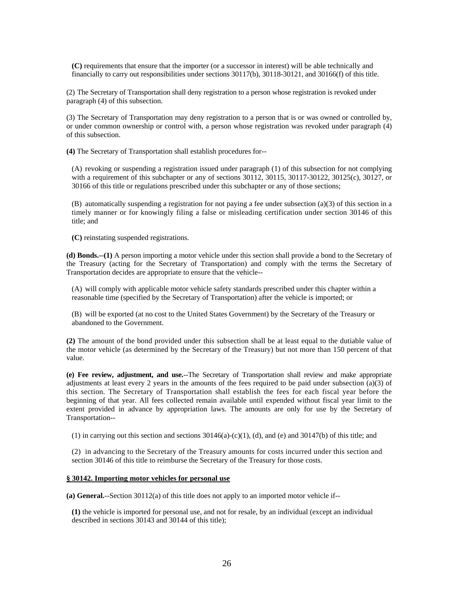**(C)** requirements that ensure that the importer (or a successor in interest) will be able technically and financially to carry out responsibilities under sections 30117(b), 30118-30121, and 30166(f) of this title.

(2) The Secretary of Transportation shall deny registration to a person whose registration is revoked under paragraph (4) of this subsection.

(3) The Secretary of Transportation may deny registration to a person that is or was owned or controlled by, or under common ownership or control with, a person whose registration was revoked under paragraph (4) of this subsection.

**(4)** The Secretary of Transportation shall establish procedures for--

(A) revoking or suspending a registration issued under paragraph (1) of this subsection for not complying with a requirement of this subchapter or any of sections 30112, 30115, 30117-30122, 30125(c), 30127, or 30166 of this title or regulations prescribed under this subchapter or any of those sections;

(B) automatically suspending a registration for not paying a fee under subsection (a)(3) of this section in a timely manner or for knowingly filing a false or misleading certification under section 30146 of this title; and

**(C)** reinstating suspended registrations.

**(d) Bonds.--(1)** A person importing a motor vehicle under this section shall provide a bond to the Secretary of the Treasury (acting for the Secretary of Transportation) and comply with the terms the Secretary of Transportation decides are appropriate to ensure that the vehicle--

(A) will comply with applicable motor vehicle safety standards prescribed under this chapter within a reasonable time (specified by the Secretary of Transportation) after the vehicle is imported; or

(B) will be exported (at no cost to the United States Government) by the Secretary of the Treasury or abandoned to the Government.

**(2)** The amount of the bond provided under this subsection shall be at least equal to the dutiable value of the motor vehicle (as determined by the Secretary of the Treasury) but not more than 150 percent of that value.

**(e) Fee review, adjustment, and use.**--The Secretary of Transportation shall review and make appropriate adjustments at least every 2 years in the amounts of the fees required to be paid under subsection (a)(3) of this section. The Secretary of Transportation shall establish the fees for each fiscal year before the beginning of that year. All fees collected remain available until expended without fiscal year limit to the extent provided in advance by appropriation laws. The amounts are only for use by the Secretary of Transportation--

(1) in carrying out this section and sections  $30146(a)-(c)(1)$ , (d), and (e) and  $30147(b)$  of this title; and

(2) in advancing to the Secretary of the Treasury amounts for costs incurred under this section and section 30146 of this title to reimburse the Secretary of the Treasury for those costs.

### **§ 30142. Importing motor vehicles for personal use**

**(a) General.**--Section 30112(a) of this title does not apply to an imported motor vehicle if--

**(1)** the vehicle is imported for personal use, and not for resale, by an individual (except an individual described in sections 30143 and 30144 of this title);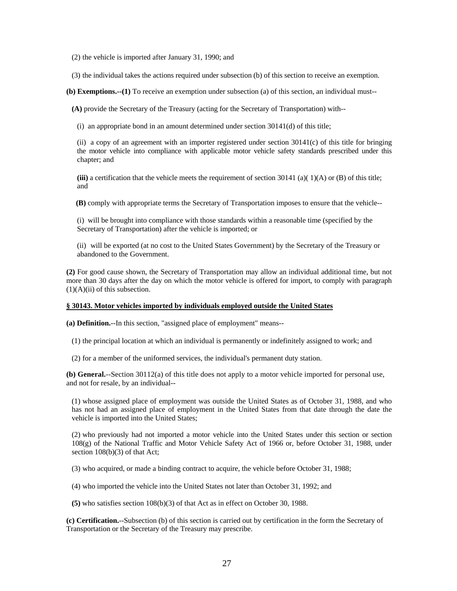(2) the vehicle is imported after January 31, 1990; and

(3) the individual takes the actions required under subsection (b) of this section to receive an exemption.

**(b) Exemptions.--(1)** To receive an exemption under subsection (a) of this section, an individual must--

**(A)** provide the Secretary of the Treasury (acting for the Secretary of Transportation) with--

 $(i)$  an appropriate bond in an amount determined under section  $30141(d)$  of this title;

(ii) a copy of an agreement with an importer registered under section 30141(c) of this title for bringing the motor vehicle into compliance with applicable motor vehicle safety standards prescribed under this chapter; and

**(iii)** a certification that the vehicle meets the requirement of section 30141 (a)( 1)(A) or (B) of this title; and

**(B)** comply with appropriate terms the Secretary of Transportation imposes to ensure that the vehicle--

(i) will be brought into compliance with those standards within a reasonable time (specified by the Secretary of Transportation) after the vehicle is imported; or

(ii) will be exported (at no cost to the United States Government) by the Secretary of the Treasury or abandoned to the Government.

**(2)** For good cause shown, the Secretary of Transportation may allow an individual additional time, but not more than 30 days after the day on which the motor vehicle is offered for import, to comply with paragraph  $(1)(A)(ii)$  of this subsection.

#### **§ 30143. Motor vehicles imported by individuals employed outside the United States**

**(a) Definition.**--In this section, "assigned place of employment" means--

(1) the principal location at which an individual is permanently or indefinitely assigned to work; and

(2) for a member of the uniformed services, the individual's permanent duty station.

**(b) General.**--Section 30112(a) of this title does not apply to a motor vehicle imported for personal use, and not for resale, by an individual--

(1) whose assigned place of employment was outside the United States as of October 31, 1988, and who has not had an assigned place of employment in the United States from that date through the date the vehicle is imported into the United States;

(2) who previously had not imported a motor vehicle into the United States under this section or section 108(g) of the National Traffic and Motor Vehicle Safety Act of 1966 or, before October 31, 1988, under section 108(b)(3) of that Act;

(3) who acquired, or made a binding contract to acquire, the vehicle before October 31, 1988;

(4) who imported the vehicle into the United States not later than October 31, 1992; and

**(5)** who satisfies section 108(b)(3) of that Act as in effect on October 30, 1988.

**(c) Certification.**--Subsection (b) of this section is carried out by certification in the form the Secretary of Transportation or the Secretary of the Treasury may prescribe.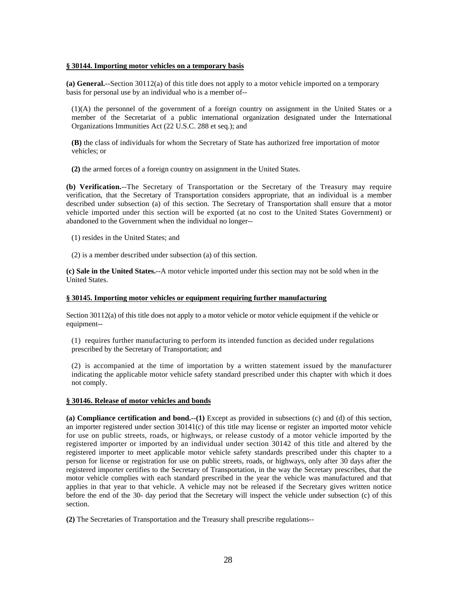# **§ 30144. Importing motor vehicles on a temporary basis**

**(a) General.**--Section 30112(a) of this title does not apply to a motor vehicle imported on a temporary basis for personal use by an individual who is a member of--

(1)(A) the personnel of the government of a foreign country on assignment in the United States or a member of the Secretariat of a public international organization designated under the International Organizations Immunities Act (22 U.S.C. 288 et seq.); and

**(B)** the class of individuals for whom the Secretary of State has authorized free importation of motor vehicles; or

**(2)** the armed forces of a foreign country on assignment in the United States.

**(b) Verification.**--The Secretary of Transportation or the Secretary of the Treasury may require verification, that the Secretary of Transportation considers appropriate, that an individual is a member described under subsection (a) of this section. The Secretary of Transportation shall ensure that a motor vehicle imported under this section will be exported (at no cost to the United States Government) or abandoned to the Government when the individual no longer--

- (1) resides in the United States; and
- (2) is a member described under subsection (a) of this section.

**(c) Sale in the United States.**--A motor vehicle imported under this section may not be sold when in the United States.

### **§ 30145. Importing motor vehicles or equipment requiring further manufacturing**

Section 30112(a) of this title does not apply to a motor vehicle or motor vehicle equipment if the vehicle or equipment--

(1) requires further manufacturing to perform its intended function as decided under regulations prescribed by the Secretary of Transportation; and

(2) is accompanied at the time of importation by a written statement issued by the manufacturer indicating the applicable motor vehicle safety standard prescribed under this chapter with which it does not comply.

### **§ 30146. Release of motor vehicles and bonds**

**(a) Compliance certification and bond.--(1)** Except as provided in subsections (c) and (d) of this section, an importer registered under section 30141(c) of this title may license or register an imported motor vehicle for use on public streets, roads, or highways, or release custody of a motor vehicle imported by the registered importer or imported by an individual under section 30142 of this title and altered by the registered importer to meet applicable motor vehicle safety standards prescribed under this chapter to a person for license or registration for use on public streets, roads, or highways, only after 30 days after the registered importer certifies to the Secretary of Transportation, in the way the Secretary prescribes, that the motor vehicle complies with each standard prescribed in the year the vehicle was manufactured and that applies in that year to that vehicle. A vehicle may not be released if the Secretary gives written notice before the end of the 30- day period that the Secretary will inspect the vehicle under subsection (c) of this section.

**(2)** The Secretaries of Transportation and the Treasury shall prescribe regulations--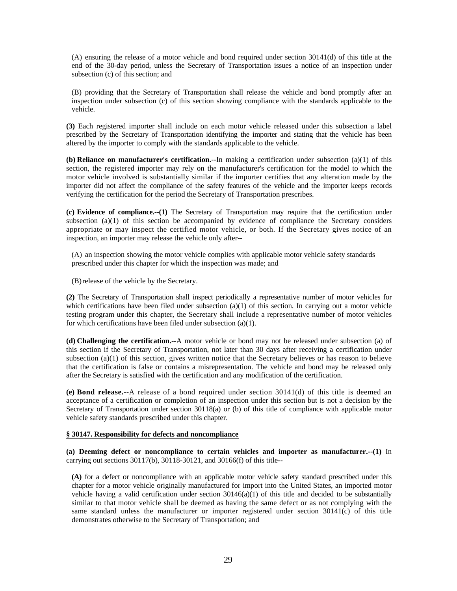(A) ensuring the release of a motor vehicle and bond required under section 30141(d) of this title at the end of the 30-day period, unless the Secretary of Transportation issues a notice of an inspection under subsection (c) of this section; and

(B) providing that the Secretary of Transportation shall release the vehicle and bond promptly after an inspection under subsection (c) of this section showing compliance with the standards applicable to the vehicle.

**(3)** Each registered importer shall include on each motor vehicle released under this subsection a label prescribed by the Secretary of Transportation identifying the importer and stating that the vehicle has been altered by the importer to comply with the standards applicable to the vehicle.

**(b) Reliance on manufacturer's certification.**--In making a certification under subsection (a)(1) of this section, the registered importer may rely on the manufacturer's certification for the model to which the motor vehicle involved is substantially similar if the importer certifies that any alteration made by the importer did not affect the compliance of the safety features of the vehicle and the importer keeps records verifying the certification for the period the Secretary of Transportation prescribes.

**(c) Evidence of compliance.--(1)** The Secretary of Transportation may require that the certification under subsection (a)(1) of this section be accompanied by evidence of compliance the Secretary considers appropriate or may inspect the certified motor vehicle, or both. If the Secretary gives notice of an inspection, an importer may release the vehicle only after--

(A) an inspection showing the motor vehicle complies with applicable motor vehicle safety standards prescribed under this chapter for which the inspection was made; and

(B)release of the vehicle by the Secretary.

**(2)** The Secretary of Transportation shall inspect periodically a representative number of motor vehicles for which certifications have been filed under subsection  $(a)(1)$  of this section. In carrying out a motor vehicle testing program under this chapter, the Secretary shall include a representative number of motor vehicles for which certifications have been filed under subsection (a)(1).

**(d) Challenging the certification.**--A motor vehicle or bond may not be released under subsection (a) of this section if the Secretary of Transportation, not later than 30 days after receiving a certification under subsection (a)(1) of this section, gives written notice that the Secretary believes or has reason to believe that the certification is false or contains a misrepresentation. The vehicle and bond may be released only after the Secretary is satisfied with the certification and any modification of the certification.

**(e) Bond release.**--A release of a bond required under section 30141(d) of this title is deemed an acceptance of a certification or completion of an inspection under this section but is not a decision by the Secretary of Transportation under section 30118(a) or (b) of this title of compliance with applicable motor vehicle safety standards prescribed under this chapter.

# **§ 30147. Responsibility for defects and noncompliance**

**(a) Deeming defect or noncompliance to certain vehicles and importer as manufacturer.--(1)** In carrying out sections 30117(b), 30118-30121, and 30166(f) of this title--

**(A)** for a defect or noncompliance with an applicable motor vehicle safety standard prescribed under this chapter for a motor vehicle originally manufactured for import into the United States, an imported motor vehicle having a valid certification under section  $30146(a)(1)$  of this title and decided to be substantially similar to that motor vehicle shall be deemed as having the same defect or as not complying with the same standard unless the manufacturer or importer registered under section 30141(c) of this title demonstrates otherwise to the Secretary of Transportation; and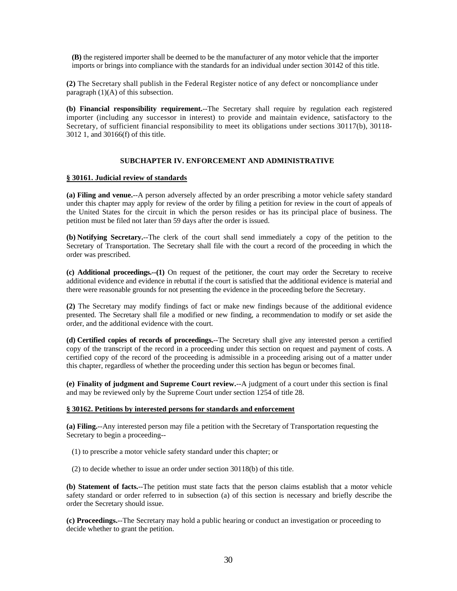**(B)** the registered importer shall be deemed to be the manufacturer of any motor vehicle that the importer imports or brings into compliance with the standards for an individual under section 30142 of this title.

**(2)** The Secretary shall publish in the Federal Register notice of any defect or noncompliance under paragraph  $(1)(A)$  of this subsection.

**(b) Financial responsibility requirement.**--The Secretary shall require by regulation each registered importer (including any successor in interest) to provide and maintain evidence, satisfactory to the Secretary, of sufficient financial responsibility to meet its obligations under sections 30117(b), 30118- 3012 1, and 30166(f) of this title.

# **SUBCHAPTER IV. ENFORCEMENT AND ADMINISTRATIVE**

### **§ 30161. Judicial review of standards**

**(a) Filing and venue.**--A person adversely affected by an order prescribing a motor vehicle safety standard under this chapter may apply for review of the order by filing a petition for review in the court of appeals of the United States for the circuit in which the person resides or has its principal place of business. The petition must be filed not later than 59 days after the order is issued.

**(b) Notifying Secretary.**--The clerk of the court shall send immediately a copy of the petition to the Secretary of Transportation. The Secretary shall file with the court a record of the proceeding in which the order was prescribed.

**(c) Additional proceedings.--(1)** On request of the petitioner, the court may order the Secretary to receive additional evidence and evidence in rebuttal if the court is satisfied that the additional evidence is material and there were reasonable grounds for not presenting the evidence in the proceeding before the Secretary.

**(2)** The Secretary may modify findings of fact or make new findings because of the additional evidence presented. The Secretary shall file a modified or new finding, a recommendation to modify or set aside the order, and the additional evidence with the court.

**(d) Certified copies of records of proceedings.**--The Secretary shall give any interested person a certified copy of the transcript of the record in a proceeding under this section on request and payment of costs. A certified copy of the record of the proceeding is admissible in a proceeding arising out of a matter under this chapter, regardless of whether the proceeding under this section has begun or becomes final.

**(e) Finality of judgment and Supreme Court review.**--A judgment of a court under this section is final and may be reviewed only by the Supreme Court under section 1254 of title 28.

### **§ 30162. Petitions by interested persons for standards and enforcement**

**(a) Filing.**--Any interested person may file a petition with the Secretary of Transportation requesting the Secretary to begin a proceeding--

(1) to prescribe a motor vehicle safety standard under this chapter; or

(2) to decide whether to issue an order under section 30118(b) of this title.

**(b) Statement of facts.**--The petition must state facts that the person claims establish that a motor vehicle safety standard or order referred to in subsection (a) of this section is necessary and briefly describe the order the Secretary should issue.

**(c) Proceedings.**--The Secretary may hold a public hearing or conduct an investigation or proceeding to decide whether to grant the petition.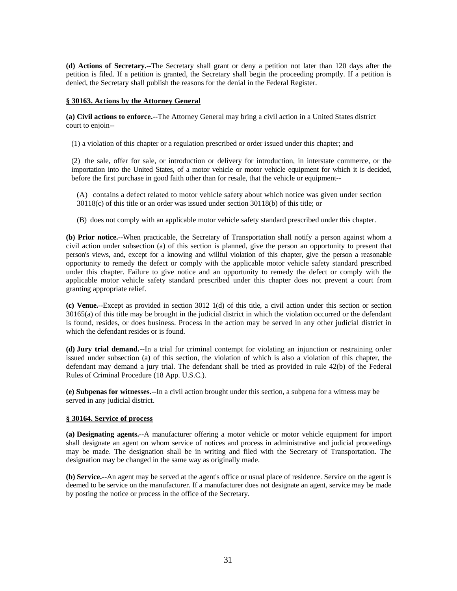**(d) Actions of Secretary.**--The Secretary shall grant or deny a petition not later than 120 days after the petition is filed. If a petition is granted, the Secretary shall begin the proceeding promptly. If a petition is denied, the Secretary shall publish the reasons for the denial in the Federal Register.

# **§ 30163. Actions by the Attorney General**

**(a) Civil actions to enforce.**--The Attorney General may bring a civil action in a United States district court to enjoin--

(1) a violation of this chapter or a regulation prescribed or order issued under this chapter; and

(2) the sale, offer for sale, or introduction or delivery for introduction, in interstate commerce, or the importation into the United States, of a motor vehicle or motor vehicle equipment for which it is decided, before the first purchase in good faith other than for resale, that the vehicle or equipment--

(A) contains a defect related to motor vehicle safety about which notice was given under section 30118(c) of this title or an order was issued under section 30118(b) of this title; or

(B) does not comply with an applicable motor vehicle safety standard prescribed under this chapter.

**(b) Prior notice.**--When practicable, the Secretary of Transportation shall notify a person against whom a civil action under subsection (a) of this section is planned, give the person an opportunity to present that person's views, and, except for a knowing and willful violation of this chapter, give the person a reasonable opportunity to remedy the defect or comply with the applicable motor vehicle safety standard prescribed under this chapter. Failure to give notice and an opportunity to remedy the defect or comply with the applicable motor vehicle safety standard prescribed under this chapter does not prevent a court from granting appropriate relief.

**(c) Venue.**--Except as provided in section 3012 1(d) of this title, a civil action under this section or section 30165(a) of this title may be brought in the judicial district in which the violation occurred or the defendant is found, resides, or does business. Process in the action may be served in any other judicial district in which the defendant resides or is found.

**(d) Jury trial demand.**--In a trial for criminal contempt for violating an injunction or restraining order issued under subsection (a) of this section, the violation of which is also a violation of this chapter, the defendant may demand a jury trial. The defendant shall be tried as provided in rule 42(b) of the Federal Rules of Criminal Procedure (18 App. U.S.C.).

**(e) Subpenas for witnesses.**--In a civil action brought under this section, a subpena for a witness may be served in any judicial district.

# **§ 30164. Service of process**

**(a) Designating agents.**--A manufacturer offering a motor vehicle or motor vehicle equipment for import shall designate an agent on whom service of notices and process in administrative and judicial proceedings may be made. The designation shall be in writing and filed with the Secretary of Transportation. The designation may be changed in the same way as originally made.

**(b) Service.**--An agent may be served at the agent's office or usual place of residence. Service on the agent is deemed to be service on the manufacturer. If a manufacturer does not designate an agent, service may be made by posting the notice or process in the office of the Secretary.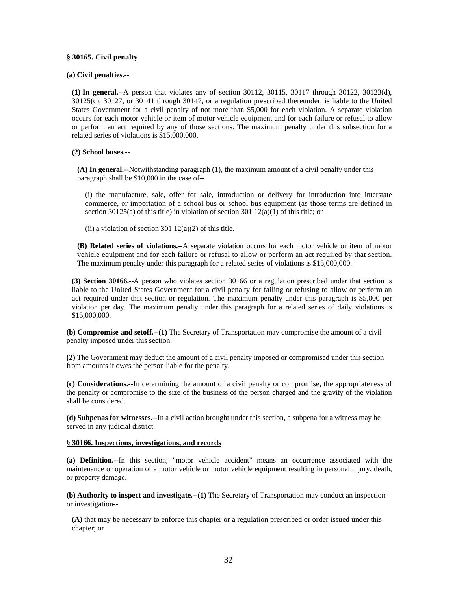# **§ 30165. Civil penalty**

# **(a) Civil penalties.--**

**(1) In general.**--A person that violates any of section 30112, 30115, 30117 through 30122, 30123(d), 30125(c), 30127, or 30141 through 30147, or a regulation prescribed thereunder, is liable to the United States Government for a civil penalty of not more than \$5,000 for each violation. A separate violation occurs for each motor vehicle or item of motor vehicle equipment and for each failure or refusal to allow or perform an act required by any of those sections. The maximum penalty under this subsection for a related series of violations is \$15,000,000.

# **(2) School buses.--**

**(A) In general.**--Notwithstanding paragraph (1), the maximum amount of a civil penalty under this paragraph shall be \$10,000 in the case of--

(i) the manufacture, sale, offer for sale, introduction or delivery for introduction into interstate commerce, or importation of a school bus or school bus equipment (as those terms are defined in section 30125(a) of this title) in violation of section 301 12(a)(1) of this title; or

(ii) a violation of section 301  $12(a)(2)$  of this title.

**(B) Related series of violations.**--A separate violation occurs for each motor vehicle or item of motor vehicle equipment and for each failure or refusal to allow or perform an act required by that section. The maximum penalty under this paragraph for a related series of violations is \$15,000,000.

**(3) Section 30166.**--A person who violates section 30166 or a regulation prescribed under that section is liable to the United States Government for a civil penalty for failing or refusing to allow or perform an act required under that section or regulation. The maximum penalty under this paragraph is \$5,000 per violation per day. The maximum penalty under this paragraph for a related series of daily violations is \$15,000,000.

**(b) Compromise and setoff.--(1)** The Secretary of Transportation may compromise the amount of a civil penalty imposed under this section.

**(2)** The Government may deduct the amount of a civil penalty imposed or compromised under this section from amounts it owes the person liable for the penalty.

**(c) Considerations.**--In determining the amount of a civil penalty or compromise, the appropriateness of the penalty or compromise to the size of the business of the person charged and the gravity of the violation shall be considered.

**(d) Subpenas for witnesses.**--In a civil action brought under this section, a subpena for a witness may be served in any judicial district.

# **§ 30166. Inspections, investigations, and records**

**(a) Definition.**--In this section, "motor vehicle accident" means an occurrence associated with the maintenance or operation of a motor vehicle or motor vehicle equipment resulting in personal injury, death, or property damage.

**(b) Authority to inspect and investigate.--(1)** The Secretary of Transportation may conduct an inspection or investigation--

**(A)** that may be necessary to enforce this chapter or a regulation prescribed or order issued under this chapter; or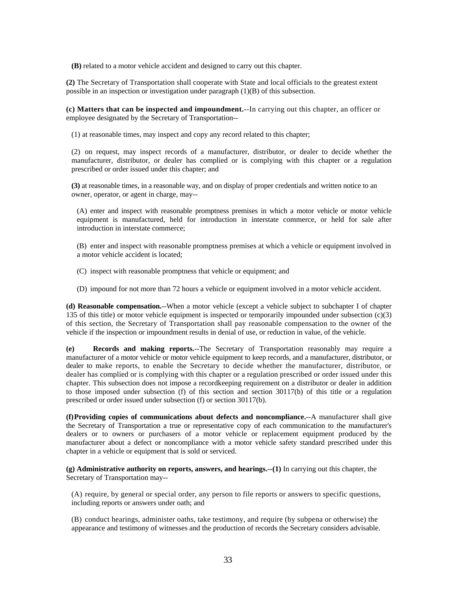**(B)** related to a motor vehicle accident and designed to carry out this chapter.

**(2)** The Secretary of Transportation shall cooperate with State and local officials to the greatest extent possible in an inspection or investigation under paragraph (1)(B) of this subsection.

**(c) Matters that can be inspected and impoundment.**--In carrying out this chapter, an officer or employee designated by the Secretary of Transportation--

(1) at reasonable times, may inspect and copy any record related to this chapter;

(2) on request, may inspect records of a manufacturer, distributor, or dealer to decide whether the manufacturer, distributor, or dealer has complied or is complying with this chapter or a regulation prescribed or order issued under this chapter; and

**(3)** at reasonable times, in a reasonable way, and on display of proper credentials and written notice to an owner, operator, or agent in charge, may--

(A) enter and inspect with reasonable promptness premises in which a motor vehicle or motor vehicle equipment is manufactured, held for introduction in interstate commerce, or held for sale after introduction in interstate commerce;

(B) enter and inspect with reasonable promptness premises at which a vehicle or equipment involved in a motor vehicle accident is located;

(C) inspect with reasonable promptness that vehicle or equipment; and

(D) impound for not more than 72 hours a vehicle or equipment involved in a motor vehicle accident.

**(d) Reasonable compensation.**--When a motor vehicle (except a vehicle subject to subchapter I of chapter 135 of this title) or motor vehicle equipment is inspected or temporarily impounded under subsection  $(c)(3)$ of this section, the Secretary of Transportation shall pay reasonable compensation to the owner of the vehicle if the inspection or impoundment results in denial of use, or reduction in value, of the vehicle.

**(e) Records and making reports.**--The Secretary of Transportation reasonably may require a manufacturer of a motor vehicle or motor vehicle equipment to keep records, and a manufacturer, distributor, or dealer to make reports, to enable the Secretary to decide whether the manufacturer, distributor, or dealer has complied or is complying with this chapter or a regulation prescribed or order issued under this chapter. This subsection does not impose a recordkeeping requirement on a distributor or dealer in addition to those imposed under subsection (f) of this section and section 30117(b) of this title or a regulation prescribed or order issued under subsection (f) or section 30117(b).

**(f)Providing copies of communications about defects and noncompliance.**--A manufacturer shall give the Secretary of Transportation a true or representative copy of each communication to the manufacturer's dealers or to owners or purchasers of a motor vehicle or replacement equipment produced by the manufacturer about a defect or noncompliance with a motor vehicle safety standard prescribed under this chapter in a vehicle or equipment that is sold or serviced.

**(g) Administrative authority on reports, answers, and hearings.--(1)** In carrying out this chapter, the Secretary of Transportation may--

(A) require, by general or special order, any person to file reports or answers to specific questions, including reports or answers under oath; and

(B) conduct hearings, administer oaths, take testimony, and require (by subpena or otherwise) the appearance and testimony of witnesses and the production of records the Secretary considers advisable.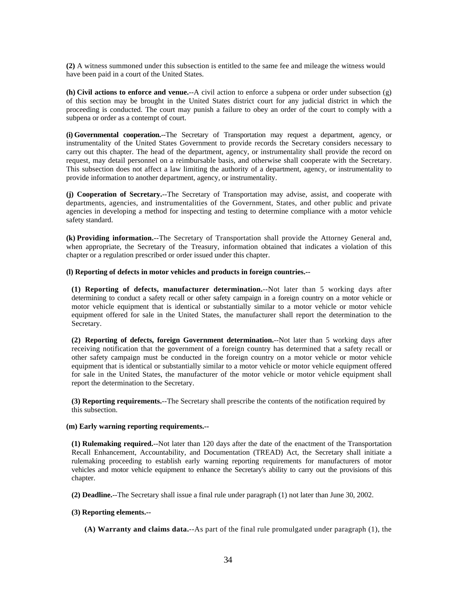**(2)** A witness summoned under this subsection is entitled to the same fee and mileage the witness would have been paid in a court of the United States.

**(h) Civil actions to enforce and venue.**--A civil action to enforce a subpena or order under subsection (g) of this section may be brought in the United States district court for any judicial district in which the proceeding is conducted. The court may punish a failure to obey an order of the court to comply with a subpena or order as a contempt of court.

**(i) Governmental cooperation.**--The Secretary of Transportation may request a department, agency, or instrumentality of the United States Government to provide records the Secretary considers necessary to carry out this chapter. The head of the department, agency, or instrumentality shall provide the record on request, may detail personnel on a reimbursable basis, and otherwise shall cooperate with the Secretary. This subsection does not affect a law limiting the authority of a department, agency, or instrumentality to provide information to another department, agency, or instrumentality.

**(j) Cooperation of Secretary.**--The Secretary of Transportation may advise, assist, and cooperate with departments, agencies, and instrumentalities of the Government, States, and other public and private agencies in developing a method for inspecting and testing to determine compliance with a motor vehicle safety standard.

**(k) Providing information.**--The Secretary of Transportation shall provide the Attorney General and, when appropriate, the Secretary of the Treasury, information obtained that indicates a violation of this chapter or a regulation prescribed or order issued under this chapter.

#### **(l) Reporting of defects in motor vehicles and products in foreign countries.--**

**(1) Reporting of defects, manufacturer determination.**--Not later than 5 working days after determining to conduct a safety recall or other safety campaign in a foreign country on a motor vehicle or motor vehicle equipment that is identical or substantially similar to a motor vehicle or motor vehicle equipment offered for sale in the United States, the manufacturer shall report the determination to the Secretary.

**(2) Reporting of defects, foreign Government determination.**--Not later than 5 working days after receiving notification that the government of a foreign country has determined that a safety recall or other safety campaign must be conducted in the foreign country on a motor vehicle or motor vehicle equipment that is identical or substantially similar to a motor vehicle or motor vehicle equipment offered for sale in the United States, the manufacturer of the motor vehicle or motor vehicle equipment shall report the determination to the Secretary.

**(3) Reporting requirements.**--The Secretary shall prescribe the contents of the notification required by this subsection.

# **(m) Early warning reporting requirements.--**

**(1) Rulemaking required.**--Not later than 120 days after the date of the enactment of the Transportation Recall Enhancement, Accountability, and Documentation (TREAD) Act, the Secretary shall initiate a rulemaking proceeding to establish early warning reporting requirements for manufacturers of motor vehicles and motor vehicle equipment to enhance the Secretary's ability to carry out the provisions of this chapter.

**(2) Deadline.**--The Secretary shall issue a final rule under paragraph (1) not later than June 30, 2002.

### **(3) Reporting elements.--**

**(A) Warranty and claims data.**--As part of the final rule promulgated under paragraph (1), the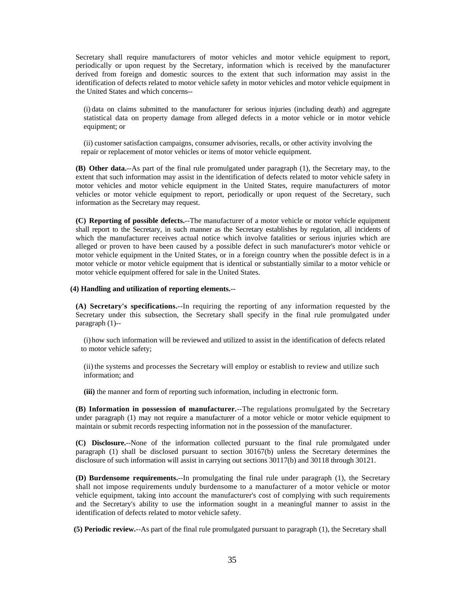Secretary shall require manufacturers of motor vehicles and motor vehicle equipment to report, periodically or upon request by the Secretary, information which is received by the manufacturer derived from foreign and domestic sources to the extent that such information may assist in the identification of defects related to motor vehicle safety in motor vehicles and motor vehicle equipment in the United States and which concerns--

(i) data on claims submitted to the manufacturer for serious injuries (including death) and aggregate statistical data on property damage from alleged defects in a motor vehicle or in motor vehicle equipment; or

(ii) customer satisfaction campaigns, consumer advisories, recalls, or other activity involving the repair or replacement of motor vehicles or items of motor vehicle equipment.

**(B) Other data.**--As part of the final rule promulgated under paragraph (1), the Secretary may, to the extent that such information may assist in the identification of defects related to motor vehicle safety in motor vehicles and motor vehicle equipment in the United States, require manufacturers of motor vehicles or motor vehicle equipment to report, periodically or upon request of the Secretary, such information as the Secretary may request.

**(C) Reporting of possible defects.**--The manufacturer of a motor vehicle or motor vehicle equipment shall report to the Secretary, in such manner as the Secretary establishes by regulation, all incidents of which the manufacturer receives actual notice which involve fatalities or serious injuries which are alleged or proven to have been caused by a possible defect in such manufacturer's motor vehicle or motor vehicle equipment in the United States, or in a foreign country when the possible defect is in a motor vehicle or motor vehicle equipment that is identical or substantially similar to a motor vehicle or motor vehicle equipment offered for sale in the United States.

#### **(4) Handling and utilization of reporting elements.--**

**(A) Secretary's specifications.**--In requiring the reporting of any information requested by the Secretary under this subsection, the Secretary shall specify in the final rule promulgated under paragraph (1)--

(i) how such information will be reviewed and utilized to assist in the identification of defects related to motor vehicle safety;

(ii) the systems and processes the Secretary will employ or establish to review and utilize such information; and

**(iii)** the manner and form of reporting such information, including in electronic form.

**(B) Information in possession of manufacturer.**--The regulations promulgated by the Secretary under paragraph (1) may not require a manufacturer of a motor vehicle or motor vehicle equipment to maintain or submit records respecting information not in the possession of the manufacturer.

**(C) Disclosure.**--None of the information collected pursuant to the final rule promulgated under paragraph (1) shall be disclosed pursuant to section 30167(b) unless the Secretary determines the disclosure of such information will assist in carrying out sections 30117(b) and 30118 through 30121.

**(D) Burdensome requirements.**--In promulgating the final rule under paragraph (1), the Secretary shall not impose requirements unduly burdensome to a manufacturer of a motor vehicle or motor vehicle equipment, taking into account the manufacturer's cost of complying with such requirements and the Secretary's ability to use the information sought in a meaningful manner to assist in the identification of defects related to motor vehicle safety.

**(5) Periodic review.**--As part of the final rule promulgated pursuant to paragraph (1), the Secretary shall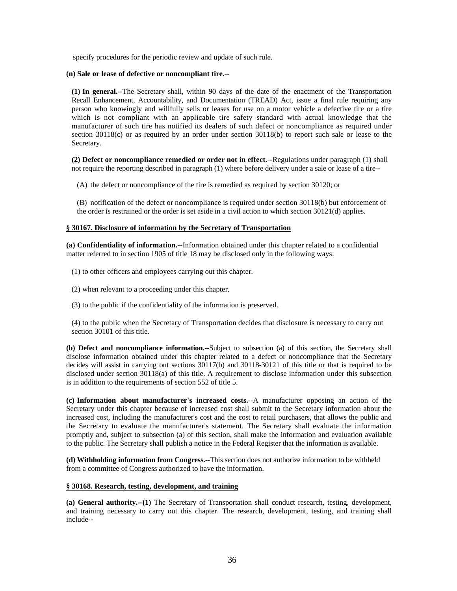specify procedures for the periodic review and update of such rule.

# **(n) Sale or lease of defective or noncompliant tire.--**

**(1) In general.**--The Secretary shall, within 90 days of the date of the enactment of the Transportation Recall Enhancement, Accountability, and Documentation (TREAD) Act, issue a final rule requiring any person who knowingly and willfully sells or leases for use on a motor vehicle a defective tire or a tire which is not compliant with an applicable tire safety standard with actual knowledge that the manufacturer of such tire has notified its dealers of such defect or noncompliance as required under section 30118(c) or as required by an order under section 30118(b) to report such sale or lease to the Secretary.

**(2) Defect or noncompliance remedied or order not in effect.**--Regulations under paragraph (1) shall not require the reporting described in paragraph (1) where before delivery under a sale or lease of a tire--

(A) the defect or noncompliance of the tire is remedied as required by section 30120; or

(B) notification of the defect or noncompliance is required under section 30118(b) but enforcement of the order is restrained or the order is set aside in a civil action to which section 30121(d) applies.

# **§ 30167. Disclosure of information by the Secretary of Transportation**

**(a) Confidentiality of information.**--Information obtained under this chapter related to a confidential matter referred to in section 1905 of title 18 may be disclosed only in the following ways:

(1) to other officers and employees carrying out this chapter.

- (2) when relevant to a proceeding under this chapter.
- (3) to the public if the confidentiality of the information is preserved.

(4) to the public when the Secretary of Transportation decides that disclosure is necessary to carry out section 30101 of this title.

**(b) Defect and noncompliance information.**--Subject to subsection (a) of this section, the Secretary shall disclose information obtained under this chapter related to a defect or noncompliance that the Secretary decides will assist in carrying out sections 30117(b) and 30118-30121 of this title or that is required to be disclosed under section 30118(a) of this title. A requirement to disclose information under this subsection is in addition to the requirements of section 552 of title 5.

**(c) Information about manufacturer's increased costs.**--A manufacturer opposing an action of the Secretary under this chapter because of increased cost shall submit to the Secretary information about the increased cost, including the manufacturer's cost and the cost to retail purchasers, that allows the public and the Secretary to evaluate the manufacturer's statement. The Secretary shall evaluate the information promptly and, subject to subsection (a) of this section, shall make the information and evaluation available to the public. The Secretary shall publish a notice in the Federal Register that the information is available.

**(d) Withholding information from Congress.**--This section does not authorize information to be withheld from a committee of Congress authorized to have the information.

# **§ 30168. Research, testing, development, and training**

**(a) General authority.--(1)** The Secretary of Transportation shall conduct research, testing, development, and training necessary to carry out this chapter. The research, development, testing, and training shall include--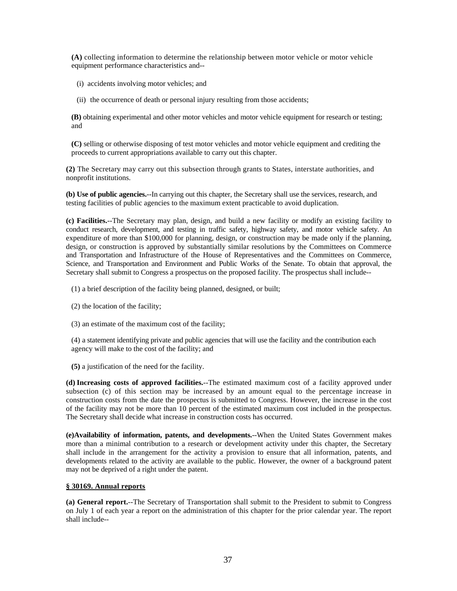**(A)** collecting information to determine the relationship between motor vehicle or motor vehicle equipment performance characteristics and--

- (i) accidents involving motor vehicles; and
- (ii) the occurrence of death or personal injury resulting from those accidents;

**(B)** obtaining experimental and other motor vehicles and motor vehicle equipment for research or testing; and

**(C)** selling or otherwise disposing of test motor vehicles and motor vehicle equipment and crediting the proceeds to current appropriations available to carry out this chapter.

**(2)** The Secretary may carry out this subsection through grants to States, interstate authorities, and nonprofit institutions.

**(b) Use of public agencies.**--In carrying out this chapter, the Secretary shall use the services, research, and testing facilities of public agencies to the maximum extent practicable to avoid duplication.

**(c) Facilities.**--The Secretary may plan, design, and build a new facility or modify an existing facility to conduct research, development, and testing in traffic safety, highway safety, and motor vehicle safety. An expenditure of more than \$100,000 for planning, design, or construction may be made only if the planning, design, or construction is approved by substantially similar resolutions by the Committees on Commerce and Transportation and Infrastructure of the House of Representatives and the Committees on Commerce, Science, and Transportation and Environment and Public Works of the Senate. To obtain that approval, the Secretary shall submit to Congress a prospectus on the proposed facility. The prospectus shall include--

(1) a brief description of the facility being planned, designed, or built;

- (2) the location of the facility;
- (3) an estimate of the maximum cost of the facility;

(4) a statement identifying private and public agencies that will use the facility and the contribution each agency will make to the cost of the facility; and

**(5)** a justification of the need for the facility.

**(d) Increasing costs of approved facilities.**--The estimated maximum cost of a facility approved under subsection (c) of this section may be increased by an amount equal to the percentage increase in construction costs from the date the prospectus is submitted to Congress. However, the increase in the cost of the facility may not be more than 10 percent of the estimated maximum cost included in the prospectus. The Secretary shall decide what increase in construction costs has occurred.

**(e)Availability of information, patents, and developments.**--When the United States Government makes more than a minimal contribution to a research or development activity under this chapter, the Secretary shall include in the arrangement for the activity a provision to ensure that all information, patents, and developments related to the activity are available to the public. However, the owner of a background patent may not be deprived of a right under the patent.

# **§ 30169. Annual reports**

**(a) General report.**--The Secretary of Transportation shall submit to the President to submit to Congress on July 1 of each year a report on the administration of this chapter for the prior calendar year. The report shall include--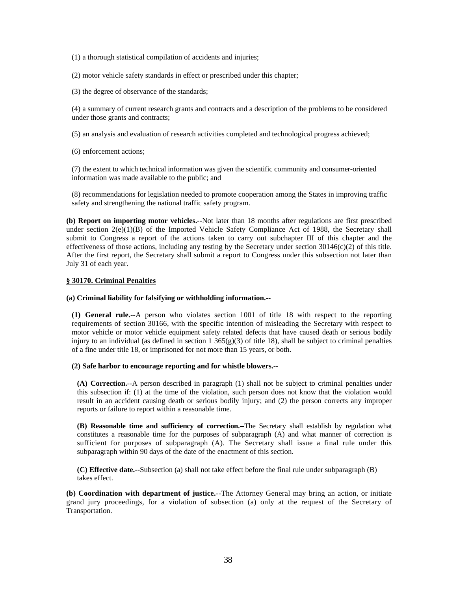(1) a thorough statistical compilation of accidents and injuries;

(2) motor vehicle safety standards in effect or prescribed under this chapter;

(3) the degree of observance of the standards;

(4) a summary of current research grants and contracts and a description of the problems to be considered under those grants and contracts;

(5) an analysis and evaluation of research activities completed and technological progress achieved;

(6) enforcement actions;

(7) the extent to which technical information was given the scientific community and consumer-oriented information was made available to the public; and

(8) recommendations for legislation needed to promote cooperation among the States in improving traffic safety and strengthening the national traffic safety program.

**(b) Report on importing motor vehicles.**--Not later than 18 months after regulations are first prescribed under section  $2(e)(1)(B)$  of the Imported Vehicle Safety Compliance Act of 1988, the Secretary shall submit to Congress a report of the actions taken to carry out subchapter III of this chapter and the effectiveness of those actions, including any testing by the Secretary under section  $30146(c)(2)$  of this title. After the first report, the Secretary shall submit a report to Congress under this subsection not later than July 31 of each year.

# **§ 30170. Criminal Penalties**

# **(a) Criminal liability for falsifying or withholding information.--**

**(1) General rule.**--A person who violates section 1001 of title 18 with respect to the reporting requirements of section 30166, with the specific intention of misleading the Secretary with respect to motor vehicle or motor vehicle equipment safety related defects that have caused death or serious bodily injury to an individual (as defined in section 1 365(g)(3) of title 18), shall be subject to criminal penalties of a fine under title 18, or imprisoned for not more than 15 years, or both.

### **(2) Safe harbor to encourage reporting and for whistle blowers.--**

**(A) Correction.**--A person described in paragraph (1) shall not be subject to criminal penalties under this subsection if: (1) at the time of the violation, such person does not know that the violation would result in an accident causing death or serious bodily injury; and (2) the person corrects any improper reports or failure to report within a reasonable time.

**(B) Reasonable time and sufficiency of correction.**--The Secretary shall establish by regulation what constitutes a reasonable time for the purposes of subparagraph (A) and what manner of correction is sufficient for purposes of subparagraph (A). The Secretary shall issue a final rule under this subparagraph within 90 days of the date of the enactment of this section.

**(C) Effective date.**--Subsection (a) shall not take effect before the final rule under subparagraph (B) takes effect.

**(b) Coordination with department of justice.**--The Attorney General may bring an action, or initiate grand jury proceedings, for a violation of subsection (a) only at the request of the Secretary of Transportation.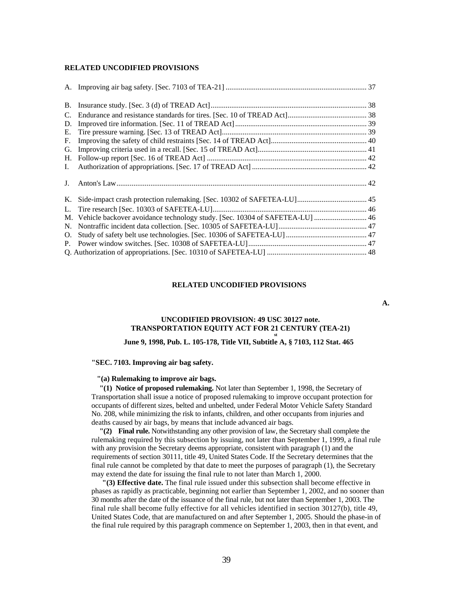#### **RELATED UNCODIFIED PROVISIONS**

| M. Vehicle backover avoidance technology study. [Sec. 10304 of SAFETEA-LU]  46 |  |
|--------------------------------------------------------------------------------|--|
|                                                                                |  |
|                                                                                |  |
|                                                                                |  |
|                                                                                |  |

#### **RELATED UNCODIFIED PROVISIONS**

**A.** 

# **UNCODIFIED PROVISION: 49 USC 30127 note. TRANSPORTATION EQUITY ACT FOR 21 CENTURY (TEA-21)**

# **June 9, 1998, Pub. L. 105-178, Title VII, Subtitle A, § 7103, 112 Stat. 465**

#### **"SEC. 7103. Improving air bag safety.**

#### **"(a) Rulemaking to improve air bags.**

**"(1) Notice of proposed rulemaking.** Not later than September 1, 1998, the Secretary of Transportation shall issue a notice of proposed rulemaking to improve occupant protection for occupants of different sizes, belted and unbelted, under Federal Motor Vehicle Safety Standard No. 208, while minimizing the risk to infants, children, and other occupants from injuries and deaths caused by air bags, by means that include advanced air bags.

**"(2) Final rule.** Notwithstanding any other provision of law, the Secretary shall complete the rulemaking required by this subsection by issuing, not later than September 1, 1999, a final rule with any provision the Secretary deems appropriate, consistent with paragraph (1) and the requirements of section 30111, title 49, United States Code. If the Secretary determines that the final rule cannot be completed by that date to meet the purposes of paragraph (1), the Secretary may extend the date for issuing the final rule to not later than March 1, 2000.

**"(3) Effective date.** The final rule issued under this subsection shall become effective in phases as rapidly as practicable, beginning not earlier than September 1, 2002, and no sooner than 30 months after the date of the issuance of the final rule, but not later than September 1, 2003. The final rule shall become fully effective for all vehicles identified in section 30127(b), title 49, United States Code, that are manufactured on and after September 1, 2005. Should the phase-in of the final rule required by this paragraph commence on September 1, 2003, then in that event, and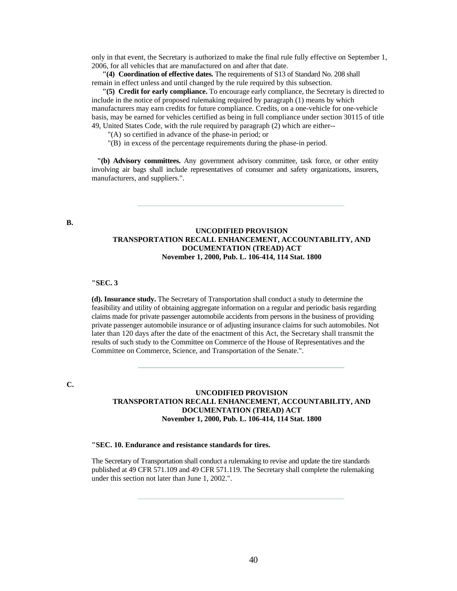only in that event, the Secretary is authorized to make the final rule fully effective on September 1, 2006, for all vehicles that are manufactured on and after that date.

**"(4) Coordination of effective dates.** The requirements of S13 of Standard No. 208 shall remain in effect unless and until changed by the rule required by this subsection.

**"(5) Credit for early compliance.** To encourage early compliance, the Secretary is directed to include in the notice of proposed rulemaking required by paragraph (1) means by which manufacturers may earn credits for future compliance. Credits, on a one-vehicle for one-vehicle basis, may be earned for vehicles certified as being in full compliance under section 30115 of title 49, United States Code, with the rule required by paragraph (2) which are either--

"(A) so certified in advance of the phase-in period; or

"(B) in excess of the percentage requirements during the phase-in period.

**"(b) Advisory committees.** Any government advisory committee, task force, or other entity involving air bags shall include representatives of consumer and safety organizations, insurers, manufacturers, and suppliers.".

### **B.**

# **UNCODIFIED PROVISION TRANSPORTATION RECALL ENHANCEMENT, ACCOUNTABILITY, AND DOCUMENTATION (TREAD) ACT November 1, 2000, Pub. L. 106-414, 114 Stat. 1800**

# **"SEC. 3**

**(d). Insurance study.** The Secretary of Transportation shall conduct a study to determine the feasibility and utility of obtaining aggregate information on a regular and periodic basis regarding claims made for private passenger automobile accidents from persons in the business of providing private passenger automobile insurance or of adjusting insurance claims for such automobiles. Not later than 120 days after the date of the enactment of this Act, the Secretary shall transmit the results of such study to the Committee on Commerce of the House of Representatives and the Committee on Commerce, Science, and Transportation of the Senate.".

# **C.**

# **UNCODIFIED PROVISION TRANSPORTATION RECALL ENHANCEMENT, ACCOUNTABILITY, AND DOCUMENTATION (TREAD) ACT November 1, 2000, Pub. L. 106-414, 114 Stat. 1800**

# **"SEC. 10. Endurance and resistance standards for tires.**

The Secretary of Transportation shall conduct a rulemaking to revise and update the tire standards published at 49 CFR 571.109 and 49 CFR 571.119. The Secretary shall complete the rulemaking under this section not later than June 1, 2002.".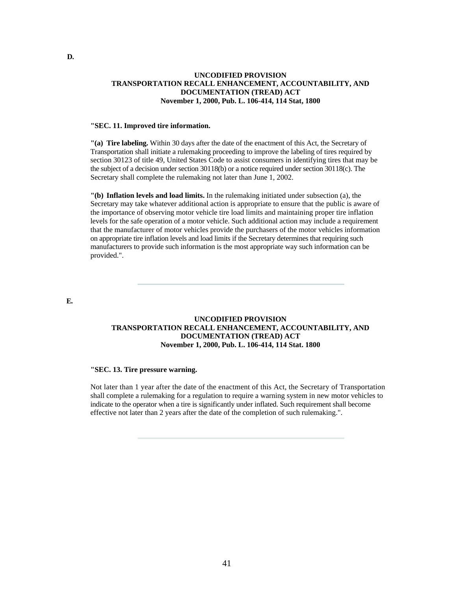# **UNCODIFIED PROVISION TRANSPORTATION RECALL ENHANCEMENT, ACCOUNTABILITY, AND DOCUMENTATION (TREAD) ACT November 1, 2000, Pub. L. 106-414, 114 Stat, 1800**

#### **"SEC. 11. Improved tire information.**

**"(a) Tire labeling.** Within 30 days after the date of the enactment of this Act, the Secretary of Transportation shall initiate a rulemaking proceeding to improve the labeling of tires required by section 30123 of title 49, United States Code to assist consumers in identifying tires that may be the subject of a decision under section 30118(b) or a notice required under section 30118(c). The Secretary shall complete the rulemaking not later than June 1, 2002.

**"(b) Inflation levels and load limits.** In the rulemaking initiated under subsection (a), the Secretary may take whatever additional action is appropriate to ensure that the public is aware of the importance of observing motor vehicle tire load limits and maintaining proper tire inflation levels for the safe operation of a motor vehicle. Such additional action may include a requirement that the manufacturer of motor vehicles provide the purchasers of the motor vehicles information on appropriate tire inflation levels and load limits if the Secretary determines that requiring such manufacturers to provide such information is the most appropriate way such information can be provided.".

### **E.**

# **UNCODIFIED PROVISION TRANSPORTATION RECALL ENHANCEMENT, ACCOUNTABILITY, AND DOCUMENTATION (TREAD) ACT November 1, 2000, Pub. L. 106-414, 114 Stat. 1800**

#### **"SEC. 13. Tire pressure warning.**

Not later than 1 year after the date of the enactment of this Act, the Secretary of Transportation shall complete a rulemaking for a regulation to require a warning system in new motor vehicles to indicate to the operator when a tire is significantly under inflated. Such requirement shall become effective not later than 2 years after the date of the completion of such rulemaking.".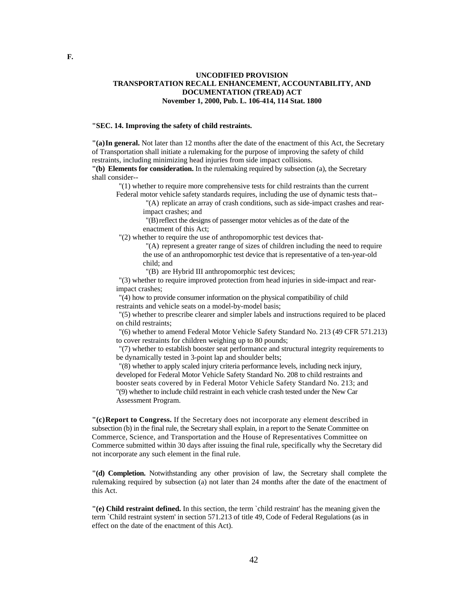# **UNCODIFIED PROVISION TRANSPORTATION RECALL ENHANCEMENT, ACCOUNTABILITY, AND DOCUMENTATION (TREAD) ACT November 1, 2000, Pub. L. 106-414, 114 Stat. 1800**

#### **"SEC. 14. Improving the safety of child restraints.**

**"(a)In general.** Not later than 12 months after the date of the enactment of this Act, the Secretary of Transportation shall initiate a rulemaking for the purpose of improving the safety of child restraints, including minimizing head injuries from side impact collisions.

**"(b) Elements for consideration.** In the rulemaking required by subsection (a), the Secretary shall consider--

"(1) whether to require more comprehensive tests for child restraints than the current Federal motor vehicle safety standards requires, including the use of dynamic tests that--

"(A) replicate an array of crash conditions, such as side-impact crashes and rear-

impact crashes; and

"(B)reflect the designs of passenger motor vehicles as of the date of the enactment of this Act;

"(2) whether to require the use of anthropomorphic test devices that-

"(A) represent a greater range of sizes of children including the need to require the use of an anthropomorphic test device that is representative of a ten-year-old child; and

"(B) are Hybrid III anthropomorphic test devices;

"(3) whether to require improved protection from head injuries in side-impact and rearimpact crashes;

"(4) how to provide consumer information on the physical compatibility of child restraints and vehicle seats on a model-by-model basis;

"(5) whether to prescribe clearer and simpler labels and instructions required to be placed on child restraints;

"(6) whether to amend Federal Motor Vehicle Safety Standard No. 213 (49 CFR 571.213) to cover restraints for children weighing up to 80 pounds;

"(7) whether to establish booster seat performance and structural integrity requirements to be dynamically tested in 3-point lap and shoulder belts;

"(8) whether to apply scaled injury criteria performance levels, including neck injury, developed for Federal Motor Vehicle Safety Standard No. 208 to child restraints and booster seats covered by in Federal Motor Vehicle Safety Standard No. 213; and "(9) whether to include child restraint in each vehicle crash tested under the New Car Assessment Program.

**"(c)Report to Congress.** If the Secretary does not incorporate any element described in subsection (b) in the final rule, the Secretary shall explain, in a report to the Senate Committee on Commerce, Science, and Transportation and the House of Representatives Committee on Commerce submitted within 30 days after issuing the final rule, specifically why the Secretary did not incorporate any such element in the final rule.

**"(d) Completion.** Notwithstanding any other provision of law, the Secretary shall complete the rulemaking required by subsection (a) not later than 24 months after the date of the enactment of this Act.

**"(e) Child restraint defined.** In this section, the term `child restraint' has the meaning given the term `Child restraint system' in section 571.213 of title 49, Code of Federal Regulations (as in effect on the date of the enactment of this Act).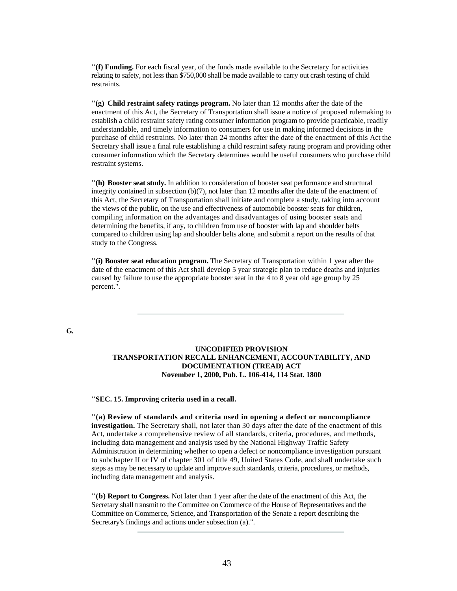**"(f) Funding.** For each fiscal year, of the funds made available to the Secretary for activities relating to safety, not less than \$750,000 shall be made available to carry out crash testing of child restraints.

**"(g) Child restraint safety ratings program.** No later than 12 months after the date of the enactment of this Act, the Secretary of Transportation shall issue a notice of proposed rulemaking to establish a child restraint safety rating consumer information program to provide practicable, readily understandable, and timely information to consumers for use in making informed decisions in the purchase of child restraints. No later than 24 months after the date of the enactment of this Act the Secretary shall issue a final rule establishing a child restraint safety rating program and providing other consumer information which the Secretary determines would be useful consumers who purchase child restraint systems.

**"(h) Booster seat study.** In addition to consideration of booster seat performance and structural integrity contained in subsection (b)(7), not later than 12 months after the date of the enactment of this Act, the Secretary of Transportation shall initiate and complete a study, taking into account the views of the public, on the use and effectiveness of automobile booster seats for children, compiling information on the advantages and disadvantages of using booster seats and determining the benefits, if any, to children from use of booster with lap and shoulder belts compared to children using lap and shoulder belts alone, and submit a report on the results of that study to the Congress.

**"(i) Booster seat education program.** The Secretary of Transportation within 1 year after the date of the enactment of this Act shall develop 5 year strategic plan to reduce deaths and injuries caused by failure to use the appropriate booster seat in the 4 to 8 year old age group by 25 percent.".

# **G.**

# **UNCODIFIED PROVISION TRANSPORTATION RECALL ENHANCEMENT, ACCOUNTABILITY, AND DOCUMENTATION (TREAD) ACT November 1, 2000, Pub. L. 106-414, 114 Stat. 1800**

#### **"SEC. 15. Improving criteria used in a recall.**

**"(a) Review of standards and criteria used in opening a defect or noncompliance investigation.** The Secretary shall, not later than 30 days after the date of the enactment of this Act, undertake a comprehensive review of all standards, criteria, procedures, and methods, including data management and analysis used by the National Highway Traffic Safety Administration in determining whether to open a defect or noncompliance investigation pursuant to subchapter II or IV of chapter 301 of title 49, United States Code, and shall undertake such steps as may be necessary to update and improve such standards, criteria, procedures, or methods, including data management and analysis.

**"(b) Report to Congress.** Not later than 1 year after the date of the enactment of this Act, the Secretary shall transmit to the Committee on Commerce of the House of Representatives and the Committee on Commerce, Science, and Transportation of the Senate a report describing the Secretary's findings and actions under subsection (a).".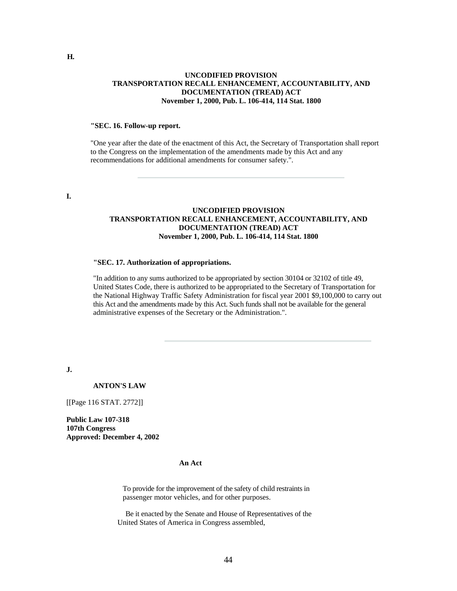# **UNCODIFIED PROVISION TRANSPORTATION RECALL ENHANCEMENT, ACCOUNTABILITY, AND DOCUMENTATION (TREAD) ACT November 1, 2000, Pub. L. 106-414, 114 Stat. 1800**

#### **"SEC. 16. Follow-up report.**

"One year after the date of the enactment of this Act, the Secretary of Transportation shall report to the Congress on the implementation of the amendments made by this Act and any recommendations for additional amendments for consumer safety.".

#### **I.**

# **UNCODIFIED PROVISION TRANSPORTATION RECALL ENHANCEMENT, ACCOUNTABILITY, AND DOCUMENTATION (TREAD) ACT November 1, 2000, Pub. L. 106-414, 114 Stat. 1800**

#### **"SEC. 17. Authorization of appropriations.**

"In addition to any sums authorized to be appropriated by section 30104 or 32102 of title 49, United States Code, there is authorized to be appropriated to the Secretary of Transportation for the National Highway Traffic Safety Administration for fiscal year 2001 \$9,100,000 to carry out this Act and the amendments made by this Act. Such funds shall not be available for the general administrative expenses of the Secretary or the Administration.".

**J.**

# **ANTON'S LAW**

[[Page 116 STAT. 2772]]

**Public Law 107-318 107th Congress Approved: December 4, 2002** 

#### **An Act**

To provide for the improvement of the safety of child restraints in passenger motor vehicles, and for other purposes.

Be it enacted by the Senate and House of Representatives of the United States of America in Congress assembled,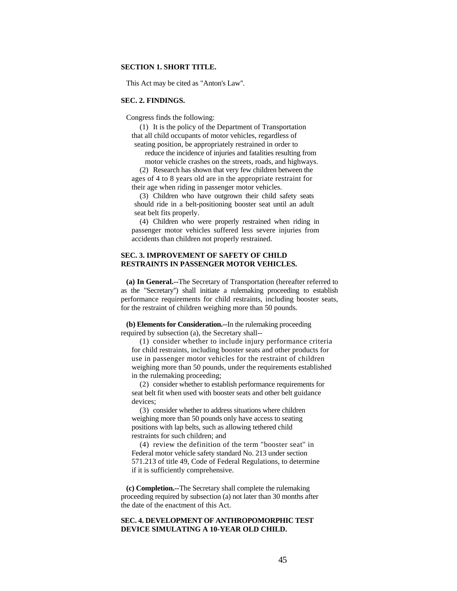# **SECTION 1. SHORT TITLE.**

This Act may be cited as "Anton's Law''.

#### **SEC. 2. FINDINGS.**

Congress finds the following:

(1) It is the policy of the Department of Transportation that all child occupants of motor vehicles, regardless of seating position, be appropriately restrained in order to

reduce the incidence of injuries and fatalities resulting from

motor vehicle crashes on the streets, roads, and highways.

(2) Research has shown that very few children between the ages of 4 to 8 years old are in the appropriate restraint for their age when riding in passenger motor vehicles.

(3) Children who have outgrown their child safety seats should ride in a belt-positioning booster seat until an adult seat belt fits properly.

(4) Children who were properly restrained when riding in passenger motor vehicles suffered less severe injuries from accidents than children not properly restrained.

### **SEC. 3. IMPROVEMENT OF SAFETY OF CHILD RESTRAINTS IN PASSENGER MOTOR VEHICLES.**

**(a) In General.--**The Secretary of Transportation (hereafter referred to as the "Secretary'') shall initiate a rulemaking proceeding to establish performance requirements for child restraints, including booster seats, for the restraint of children weighing more than 50 pounds.

**(b) Elements for Consideration.--**In the rulemaking proceeding required by subsection (a), the Secretary shall--

(1) consider whether to include injury performance criteria for child restraints, including booster seats and other products for use in passenger motor vehicles for the restraint of children weighing more than 50 pounds, under the requirements established in the rulemaking proceeding;

(2) consider whether to establish performance requirements for seat belt fit when used with booster seats and other belt guidance devices;

(3) consider whether to address situations where children weighing more than 50 pounds only have access to seating positions with lap belts, such as allowing tethered child restraints for such children; and

(4) review the definition of the term "booster seat'' in Federal motor vehicle safety standard No. 213 under section 571.213 of title 49, Code of Federal Regulations, to determine if it is sufficiently comprehensive.

**(c) Completion.--**The Secretary shall complete the rulemaking proceeding required by subsection (a) not later than 30 months after the date of the enactment of this Act.

# **SEC. 4. DEVELOPMENT OF ANTHROPOMORPHIC TEST DEVICE SIMULATING A 10-YEAR OLD CHILD.**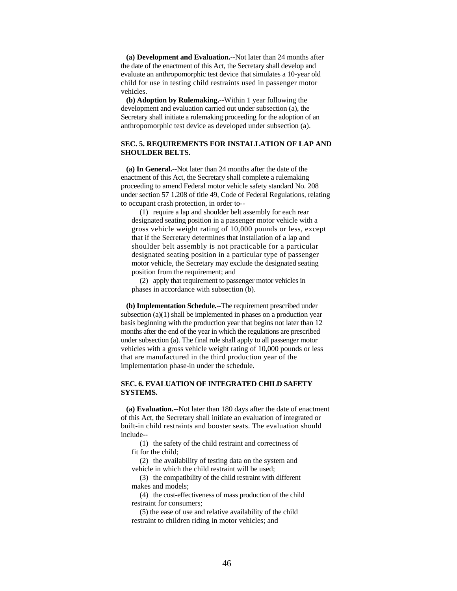**(a) Development and Evaluation.--**Not later than 24 months after the date of the enactment of this Act, the Secretary shall develop and evaluate an anthropomorphic test device that simulates a 10-year old child for use in testing child restraints used in passenger motor vehicles.

**(b) Adoption by Rulemaking.--**Within 1 year following the development and evaluation carried out under subsection (a), the Secretary shall initiate a rulemaking proceeding for the adoption of an anthropomorphic test device as developed under subsection (a).

# **SEC. 5. REQUIREMENTS FOR INSTALLATION OF LAP AND SHOULDER BELTS.**

**(a) In General.--**Not later than 24 months after the date of the enactment of this Act, the Secretary shall complete a rulemaking proceeding to amend Federal motor vehicle safety standard No. 208 under section 57 1.208 of title 49, Code of Federal Regulations, relating to occupant crash protection, in order to--

(1) require a lap and shoulder belt assembly for each rear designated seating position in a passenger motor vehicle with a gross vehicle weight rating of 10,000 pounds or less, except that if the Secretary determines that installation of a lap and shoulder belt assembly is not practicable for a particular designated seating position in a particular type of passenger motor vehicle, the Secretary may exclude the designated seating position from the requirement; and

(2) apply that requirement to passenger motor vehicles in phases in accordance with subsection (b).

**(b) Implementation Schedule.--**The requirement prescribed under subsection (a)(1) shall be implemented in phases on a production year basis beginning with the production year that begins not later than 12 months after the end of the year in which the regulations are prescribed under subsection (a). The final rule shall apply to all passenger motor vehicles with a gross vehicle weight rating of 10,000 pounds or less that are manufactured in the third production year of the implementation phase-in under the schedule.

# **SEC. 6. EVALUATION OF INTEGRATED CHILD SAFETY SYSTEMS.**

**(a) Evaluation.--**Not later than 180 days after the date of enactment of this Act, the Secretary shall initiate an evaluation of integrated or built-in child restraints and booster seats. The evaluation should include--

(1) the safety of the child restraint and correctness of fit for the child;

(2) the availability of testing data on the system and vehicle in which the child restraint will be used;

(3) the compatibility of the child restraint with different makes and models;

(4) the cost-effectiveness of mass production of the child restraint for consumers;

(5) the ease of use and relative availability of the child restraint to children riding in motor vehicles; and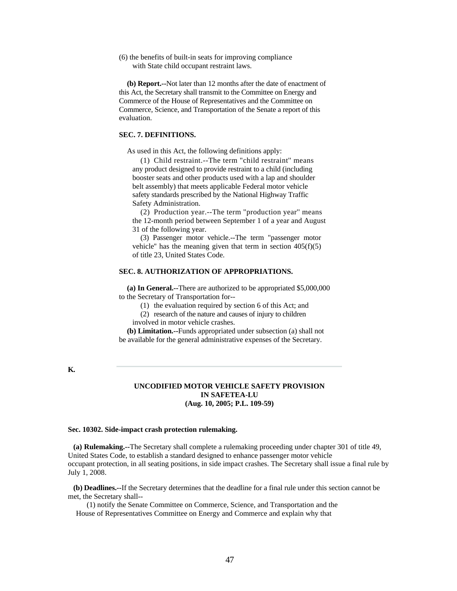(6) the benefits of built-in seats for improving compliance with State child occupant restraint laws.

**(b) Report.--**Not later than 12 months after the date of enactment of this Act, the Secretary shall transmit to the Committee on Energy and Commerce of the House of Representatives and the Committee on Commerce, Science, and Transportation of the Senate a report of this evaluation.

# **SEC. 7. DEFINITIONS.**

As used in this Act, the following definitions apply:

(1) Child restraint.--The term "child restraint'' means any product designed to provide restraint to a child (including booster seats and other products used with a lap and shoulder belt assembly) that meets applicable Federal motor vehicle safety standards prescribed by the National Highway Traffic Safety Administration.

(2) Production year.--The term "production year'' means the 12-month period between September 1 of a year and August 31 of the following year.

(3) Passenger motor vehicle.--The term "passenger motor vehicle" has the meaning given that term in section  $405(f)(5)$ of title 23, United States Code.

#### **SEC. 8. AUTHORIZATION OF APPROPRIATIONS.**

**(a) In General.--**There are authorized to be appropriated \$5,000,000 to the Secretary of Transportation for--

(1) the evaluation required by section 6 of this Act; and

(2) research of the nature and causes of injury to children involved in motor vehicle crashes.

**(b) Limitation.--**Funds appropriated under subsection (a) shall not be available for the general administrative expenses of the Secretary.

# **K.**

#### **UNCODIFIED MOTOR VEHICLE SAFETY PROVISION IN SAFETEA-LU (Aug. 10, 2005; P.L. 109-59)**

#### **Sec. 10302. Side-impact crash protection rulemaking.**

**(a) Rulemaking.--**The Secretary shall complete a rulemaking proceeding under chapter 301 of title 49, United States Code, to establish a standard designed to enhance passenger motor vehicle occupant protection, in all seating positions, in side impact crashes. The Secretary shall issue a final rule by July 1, 2008.

**(b) Deadlines.--**If the Secretary determines that the deadline for a final rule under this section cannot be met, the Secretary shall--

(1) notify the Senate Committee on Commerce, Science, and Transportation and the House of Representatives Committee on Energy and Commerce and explain why that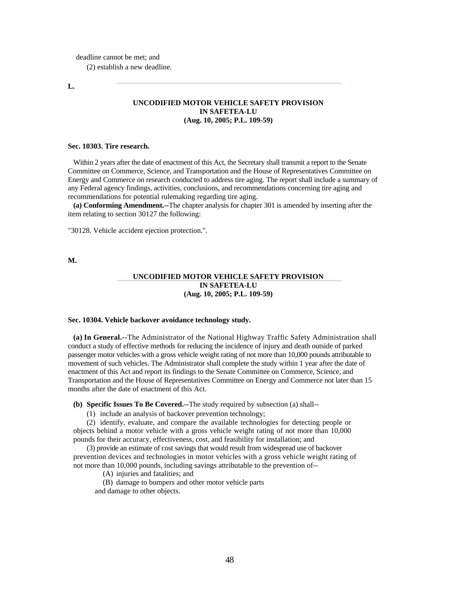deadline cannot be met; and

(2) establish a new deadline.

#### **L.**

# **UNCODIFIED MOTOR VEHICLE SAFETY PROVISION IN SAFETEA-LU (Aug. 10, 2005; P.L. 109-59)**

# **Sec. 10303. Tire research.**

Within 2 years after the date of enactment of this Act, the Secretary shall transmit a report to the Senate Committee on Commerce, Science, and Transportation and the House of Representatives Committee on Energy and Commerce on research conducted to address tire aging. The report shall include a summary of any Federal agency findings, activities, conclusions, and recommendations concerning tire aging and recommendations for potential rulemaking regarding tire aging.

**(a) Conforming Amendment.--**The chapter analysis for chapter 301 is amended by inserting after the item relating to section 30127 the following:

"30128. Vehicle accident ejection protection.''.

# **M.**

# **UNCODIFIED MOTOR VEHICLE SAFETY PROVISION IN SAFETEA-LU (Aug. 10, 2005; P.L. 109-59)**

## **Sec. 10304. Vehicle backover avoidance technology study.**

**(a) In General.--**The Administrator of the National Highway Traffic Safety Administration shall conduct a study of effective methods for reducing the incidence of injury and death outside of parked passenger motor vehicles with a gross vehicle weight rating of not more than 10,000 pounds attributable to movement of such vehicles. The Administrator shall complete the study within 1 year after the date of enactment of this Act and report its findings to the Senate Committee on Commerce, Science, and Transportation and the House of Representatives Committee on Energy and Commerce not later than 15 months after the date of enactment of this Act.

**(b) Specific Issues To Be Covered.--**The study required by subsection (a) shall--

(1) include an analysis of backover prevention technology;

(2) identify, evaluate, and compare the available technologies for detecting people or objects behind a motor vehicle with a gross vehicle weight rating of not more than 10,000 pounds for their accuracy, effectiveness, cost, and feasibility for installation; and

(3) provide an estimate of cost savings that would result from widespread use of backover prevention devices and technologies in motor vehicles with a gross vehicle weight rating of not more than 10,000 pounds, including savings attributable to the prevention of--

(A) injuries and fatalities; and

(B) damage to bumpers and other motor vehicle parts

and damage to other objects.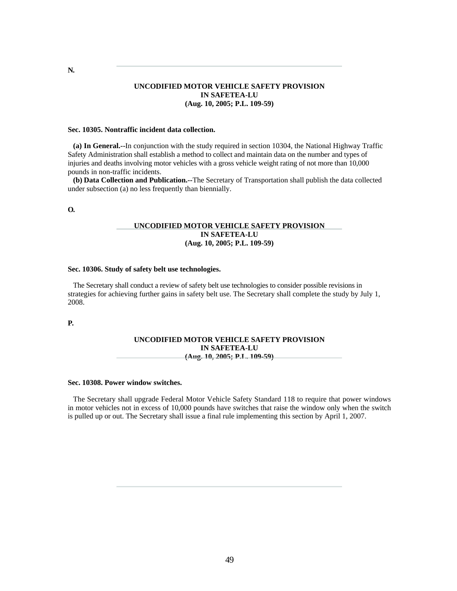# **UNCODIFIED MOTOR VEHICLE SAFETY PROVISION IN SAFETEA-LU (Aug. 10, 2005; P.L. 109-59)**

#### **Sec. 10305. Nontraffic incident data collection.**

**(a) In General.--**In conjunction with the study required in section 10304, the National Highway Traffic Safety Administration shall establish a method to collect and maintain data on the number and types of injuries and deaths involving motor vehicles with a gross vehicle weight rating of not more than 10,000 pounds in non-traffic incidents.

**(b) Data Collection and Publication.--**The Secretary of Transportation shall publish the data collected under subsection (a) no less frequently than biennially.

# **O.**

# **UNCODIFIED MOTOR VEHICLE SAFETY PROVISION IN SAFETEA-LU (Aug. 10, 2005; P.L. 109-59)**

#### **Sec. 10306. Study of safety belt use technologies.**

The Secretary shall conduct a review of safety belt use technologies to consider possible revisions in strategies for achieving further gains in safety belt use. The Secretary shall complete the study by July 1, 2008.

**P.** 

# **UNCODIFIED MOTOR VEHICLE SAFETY PROVISION IN SAFETEA-LU (Aug. 10, 2005; P.L. 109-59)**

#### **Sec. 10308. Power window switches.**

The Secretary shall upgrade Federal Motor Vehicle Safety Standard 118 to require that power windows in motor vehicles not in excess of 10,000 pounds have switches that raise the window only when the switch is pulled up or out. The Secretary shall issue a final rule implementing this section by April 1, 2007.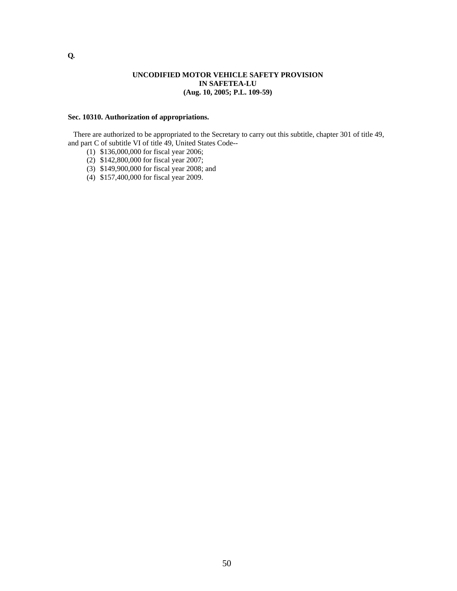# **UNCODIFIED MOTOR VEHICLE SAFETY PROVISION IN SAFETEA-LU (Aug. 10, 2005; P.L. 109-59)**

# **Sec. 10310. Authorization of appropriations.**

There are authorized to be appropriated to the Secretary to carry out this subtitle, chapter 301 of title 49, and part C of subtitle VI of title 49, United States Code--

- (1) \$136,000,000 for fiscal year 2006;
- (2) \$142,800,000 for fiscal year 2007;
- (3) \$149,900,000 for fiscal year 2008; and
- (4) \$157,400,000 for fiscal year 2009.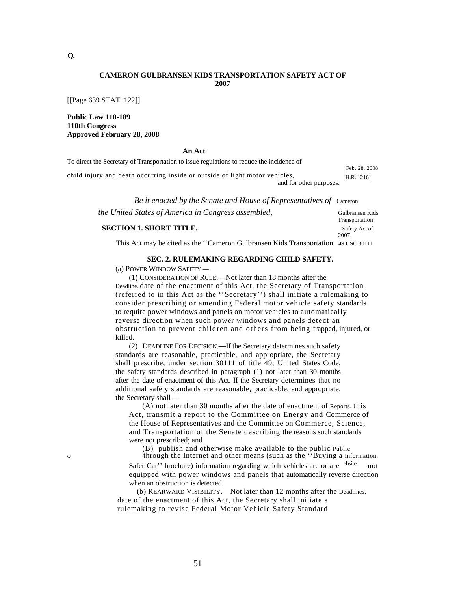# **CAMERON GULBRANSEN KIDS TRANSPORTATION SAFETY ACT OF 2007**

[[Page 639 STAT. 122]]

**Public Law 110-189 110th Congress Approved February 28, 2008** 

#### **An Act**

To direct the Secretary of Transportation to issue regulations to reduce the incidence of

child injury and death occurring inside or outside of light motor vehicles, and for other purposes. [H.R. 1216]

> *Be it enacted by the Senate and House of Representatives of* Cameron *the United States of America in Congress assembled,* Gulbransen Kids Transportation **SECTION 1. SHORT TITLE.** Safety Act of 2007.

Feb. 28, 2008

This Act may be cited as the ''Cameron Gulbransen Kids Transportation 49 USC 30111

# **SEC. 2. RULEMAKING REGARDING CHILD SAFETY.**

(a) POWER WINDOW SAFETY.—

(1) CONSIDERATION OF RULE.—Not later than 18 months after the Deadline. date of the enactment of this Act, the Secretary of Transportation (referred to in this Act as the ''Secretary'') shall initiate a rulemaking to consider prescribing or amending Federal motor vehicle safety standards to require power windows and panels on motor vehicles to automatically reverse direction when such power windows and panels detect an obstruction to prevent children and others from being trapped, injured, or killed.

(2) DEADLINE FOR DECISION.—If the Secretary determines such safety standards are reasonable, practicable, and appropriate, the Secretary shall prescribe, under section 30111 of title 49, United States Code, the safety standards described in paragraph (1) not later than 30 months after the date of enactment of this Act. If the Secretary determines that no additional safety standards are reasonable, practicable, and appropriate, the Secretary shall—

(A) not later than 30 months after the date of enactment of Reports. this Act, transmit a report to the Committee on Energy and Commerce of the House of Representatives and the Committee on Commerce, Science, and Transportation of the Senate describing the reasons such standards were not prescribed; and

(B) publish and otherwise make available to the public Public

w through the Internet and other means (such as the "Buying a Information. Safer Car'' brochure) information regarding which vehicles are or are <sup>ebsite.</sup> not equipped with power windows and panels that automatically reverse direction when an obstruction is detected.

> (b) REARWARD VISIBILITY.—Not later than 12 months after the Deadlines. date of the enactment of this Act, the Secretary shall initiate a rulemaking to revise Federal Motor Vehicle Safety Standard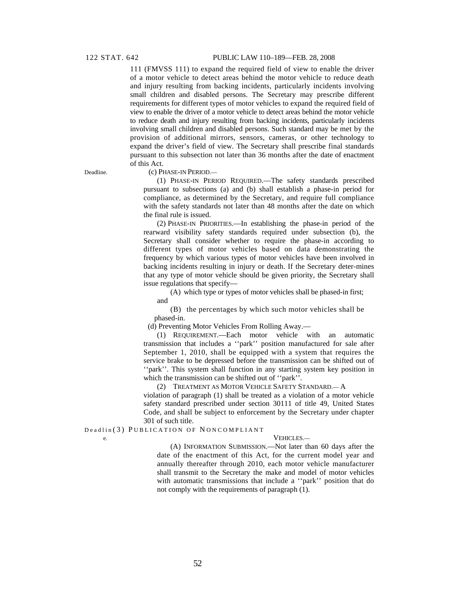111 (FMVSS 111) to expand the required field of view to enable the driver of a motor vehicle to detect areas behind the motor vehicle to reduce death and injury resulting from backing incidents, particularly incidents involving small children and disabled persons. The Secretary may prescribe different requirements for different types of motor vehicles to expand the required field of view to enable the driver of a motor vehicle to detect areas behind the motor vehicle to reduce death and injury resulting from backing incidents, particularly incidents involving small children and disabled persons. Such standard may be met by the provision of additional mirrors, sensors, cameras, or other technology to expand the driver's field of view. The Secretary shall prescribe final standards pursuant to this subsection not later than 36 months after the date of enactment of this Act.

#### Deadline. (c) PHASE-IN PERIOD.—

(1) PHASE-IN PERIOD REQUIRED.—The safety standards prescribed pursuant to subsections (a) and (b) shall establish a phase-in period for compliance, as determined by the Secretary, and require full compliance with the safety standards not later than 48 months after the date on which the final rule is issued.

(2) PHASE-IN PRIORITIES.—In establishing the phase-in period of the rearward visibility safety standards required under subsection (b), the Secretary shall consider whether to require the phase-in according to different types of motor vehicles based on data demonstrating the frequency by which various types of motor vehicles have been involved in backing incidents resulting in injury or death. If the Secretary deter-mines that any type of motor vehicle should be given priority, the Secretary shall issue regulations that specify—

(A) which type or types of motor vehicles shall be phased-in first;

and

(B) the percentages by which such motor vehicles shall be phased-in.

(d) Preventing Motor Vehicles From Rolling Away.—

(1) REQUIREMENT.—Each motor vehicle with an automatic transmission that includes a ''park'' position manufactured for sale after September 1, 2010, shall be equipped with a system that requires the service brake to be depressed before the transmission can be shifted out of "park". This system shall function in any starting system key position in which the transmission can be shifted out of ''park''.

(2) TREATMENT AS MOTOR VEHICLE SAFETY STANDARD.— A

violation of paragraph (1) shall be treated as a violation of a motor vehicle safety standard prescribed under section 30111 of title 49, United States Code, and shall be subject to enforcement by the Secretary under chapter 301 of such title.

# Deadlin (3) PUBLICATION OF NONCOMPLIANT

#### e. VEHICLES.—

(A) INFORMATION SUBMISSION.—Not later than 60 days after the date of the enactment of this Act, for the current model year and annually thereafter through 2010, each motor vehicle manufacturer shall transmit to the Secretary the make and model of motor vehicles with automatic transmissions that include a ''park'' position that do not comply with the requirements of paragraph (1).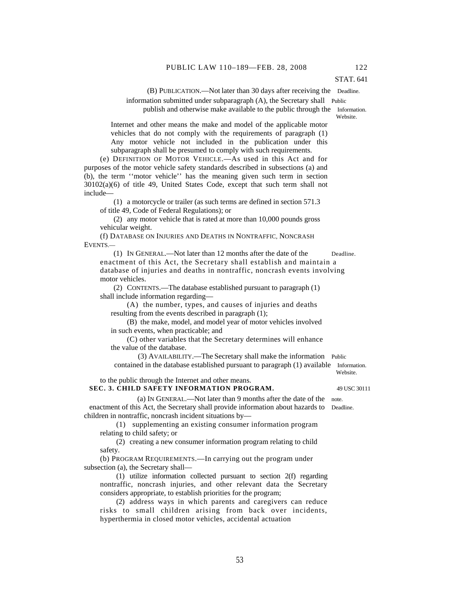#### PUBLIC LAW 110-189-FEB. 28, 2008 122

# STAT. 641

(B) PUBLICATION.—Not later than 30 days after receiving the Deadline.

 information submitted under subparagraph (A), the Secretary shall Public publish and otherwise make available to the public through the Information.

Website.

Internet and other means the make and model of the applicable motor vehicles that do not comply with the requirements of paragraph (1) Any motor vehicle not included in the publication under this subparagraph shall be presumed to comply with such requirements.

(e) DEFINITION OF MOTOR VEHICLE.—As used in this Act and for purposes of the motor vehicle safety standards described in subsections (a) and (b), the term ''motor vehicle'' has the meaning given such term in section 30102(a)(6) of title 49, United States Code, except that such term shall not include—

(1) a motorcycle or trailer (as such terms are defined in section 571.3 of title 49, Code of Federal Regulations); or

(2) any motor vehicle that is rated at more than 10,000 pounds gross vehicular weight.

(f) DATABASE ON INJURIES AND DEATHS IN NONTRAFFIC, NONCRASH EVENTS.—

(1) IN GENERAL.—Not later than 12 months after the date of the Deadline. enactment of this Act, the Secretary shall establish and maintain a database of injuries and deaths in nontraffic, noncrash events involving motor vehicles.

(2) CONTENTS.—The database established pursuant to paragraph (1) shall include information regarding—

(A) the number, types, and causes of injuries and deaths resulting from the events described in paragraph (1);

(B) the make, model, and model year of motor vehicles involved in such events, when practicable; and

(C) other variables that the Secretary determines will enhance the value of the database.

 (3) AVAILABILITY.—The Secretary shall make the information Public contained in the database established pursuant to paragraph (1) available Information. Website.

#### to the public through the Internet and other means. **SEC. 3. CHILD SAFETY INFORMATION PROGRAM.** 49 USC 30111

 (a) IN GENERAL.—Not later than 9 months after the date of the note. enactment of this Act, the Secretary shall provide information about hazards to Deadline. children in nontraffic, noncrash incident situations by—

(1) supplementing an existing consumer information program relating to child safety; or

(2) creating a new consumer information program relating to child safety.

(b) PROGRAM REQUIREMENTS.—In carrying out the program under subsection (a), the Secretary shall—

(1) utilize information collected pursuant to section 2(f) regarding nontraffic, noncrash injuries, and other relevant data the Secretary considers appropriate, to establish priorities for the program;

(2) address ways in which parents and caregivers can reduce risks to small children arising from back over incidents, hyperthermia in closed motor vehicles, accidental actuation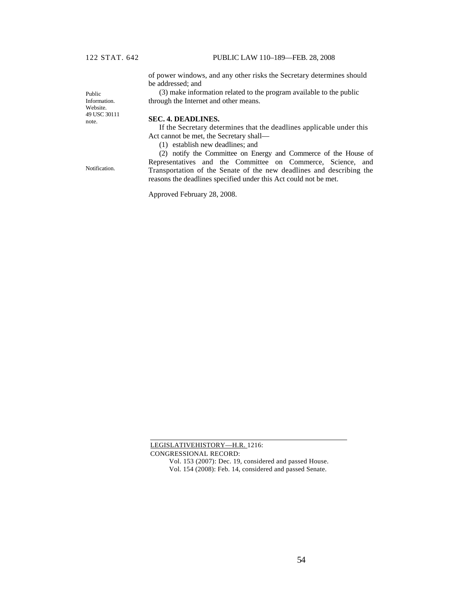of power windows, and any other risks the Secretary determines should be addressed; and

(3) make information related to the program available to the public through the Internet and other means.

# **SEC. 4. DEADLINES.**

If the Secretary determines that the deadlines applicable under this Act cannot be met, the Secretary shall—

(1) establish new deadlines; and

(2) notify the Committee on Energy and Commerce of the House of Representatives and the Committee on Commerce, Science, and Transportation of the Senate of the new deadlines and describing the reasons the deadlines specified under this Act could not be met.

Approved February 28, 2008.

Notification.

Public Information. Website. 49 USC 30111 note.

> LEGISLATIVEHISTORY—H.R. 1216: CONGRESSIONAL RECORD: Vol. 153 (2007): Dec. 19, considered and passed House. Vol. 154 (2008): Feb. 14, considered and passed Senate.